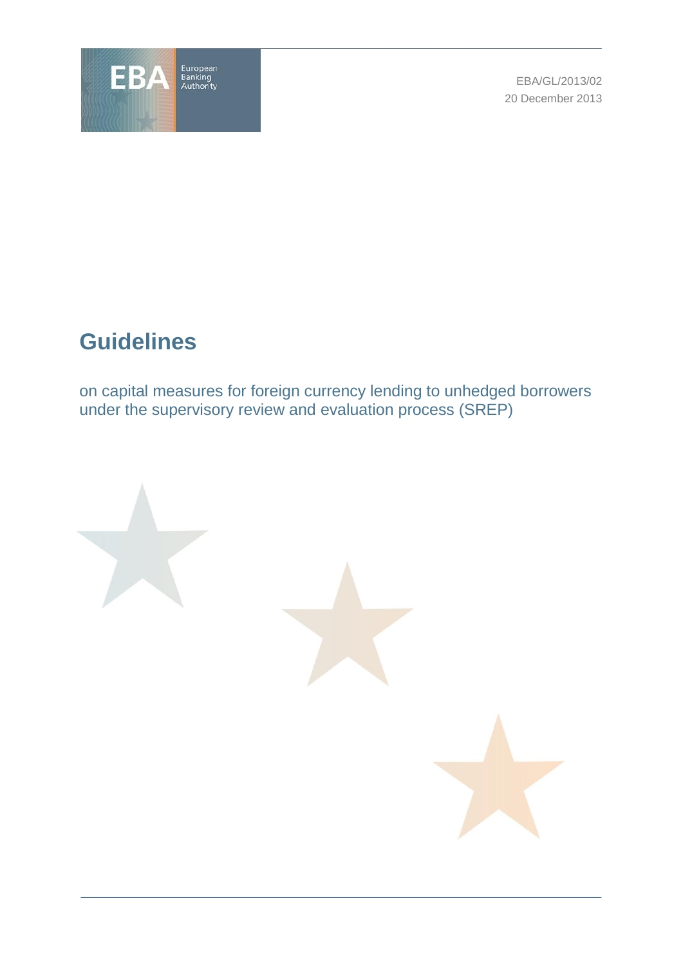

EBA/GL/2013/02 20 December 2013

# **Guidelines**

on capital measures for foreign currency lending to unhedged borrowers under the supervisory review and evaluation process (SREP)

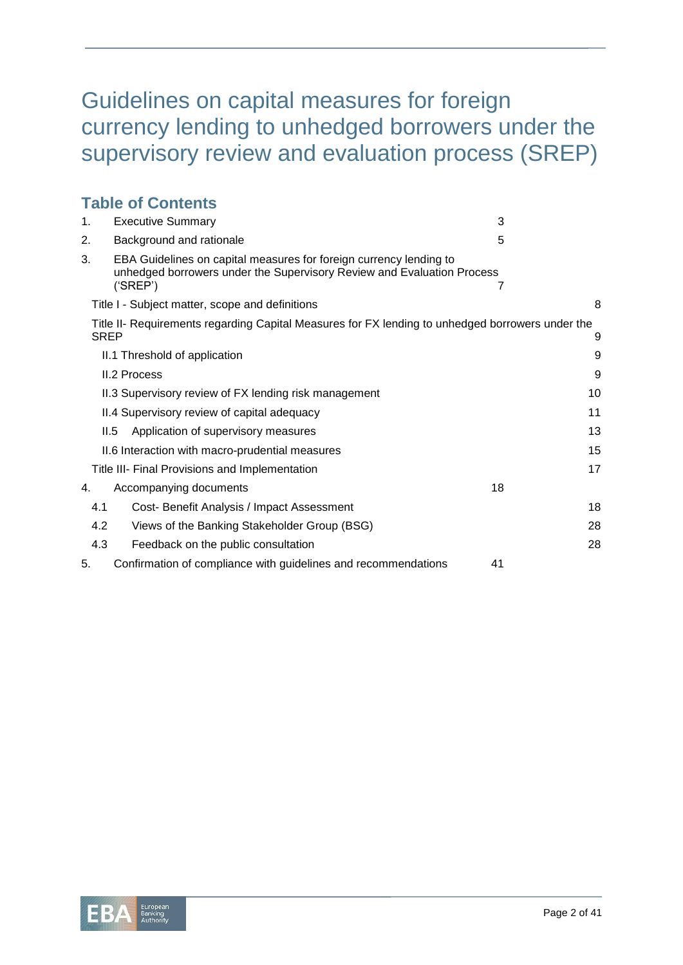# Guidelines on capital measures for foreign currency lending to unhedged borrowers under the supervisory review and evaluation process (SREP)

|             | <b>Table of Contents</b>                                                                                                                                 |    |
|-------------|----------------------------------------------------------------------------------------------------------------------------------------------------------|----|
| 1.          | <b>Executive Summary</b>                                                                                                                                 | 3  |
| 2.          | Background and rationale                                                                                                                                 | 5  |
| 3.          | EBA Guidelines on capital measures for foreign currency lending to<br>unhedged borrowers under the Supervisory Review and Evaluation Process<br>('SREF') | 7  |
|             | Title I - Subject matter, scope and definitions                                                                                                          | 8  |
| <b>SREP</b> | Title II- Requirements regarding Capital Measures for FX lending to unhedged borrowers under the                                                         | 9  |
|             | II.1 Threshold of application                                                                                                                            | 9  |
|             | <b>II.2 Process</b>                                                                                                                                      | 9  |
|             | II.3 Supervisory review of FX lending risk management                                                                                                    | 10 |
|             | II.4 Supervisory review of capital adequacy                                                                                                              | 11 |
| II.5        | Application of supervisory measures                                                                                                                      | 13 |
|             | II.6 Interaction with macro-prudential measures                                                                                                          | 15 |
|             | Title III- Final Provisions and Implementation                                                                                                           | 17 |
| 4.          | Accompanying documents                                                                                                                                   | 18 |
| 4.1         | Cost- Benefit Analysis / Impact Assessment                                                                                                               | 18 |
| 4.2         | Views of the Banking Stakeholder Group (BSG)                                                                                                             | 28 |
| 4.3         | Feedback on the public consultation                                                                                                                      | 28 |
| 5.          | Confirmation of compliance with guidelines and recommendations                                                                                           | 41 |

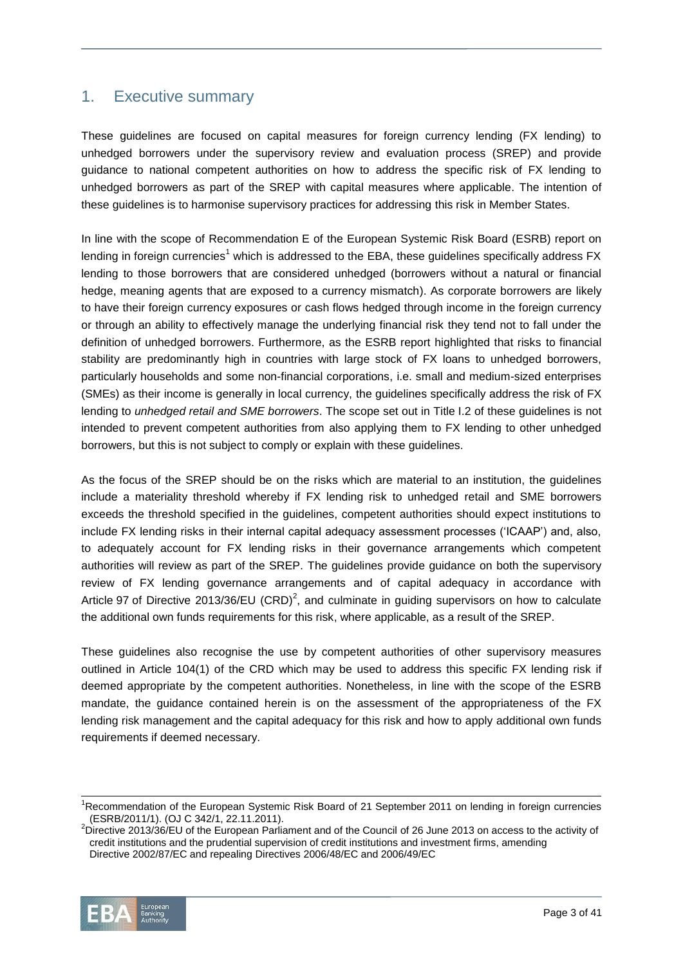# <span id="page-2-0"></span>1. Executive summary

These guidelines are focused on capital measures for foreign currency lending (FX lending) to unhedged borrowers under the supervisory review and evaluation process (SREP) and provide guidance to national competent authorities on how to address the specific risk of FX lending to unhedged borrowers as part of the SREP with capital measures where applicable. The intention of these guidelines is to harmonise supervisory practices for addressing this risk in Member States.

In line with the scope of Recommendation E of the European Systemic Risk Board (ESRB) report on lending in foreign currencies<sup>1</sup> which is addressed to the EBA, these guidelines specifically address FX lending to those borrowers that are considered unhedged (borrowers without a natural or financial hedge, meaning agents that are exposed to a currency mismatch). As corporate borrowers are likely to have their foreign currency exposures or cash flows hedged through income in the foreign currency or through an ability to effectively manage the underlying financial risk they tend not to fall under the definition of unhedged borrowers. Furthermore, as the ESRB report highlighted that risks to financial stability are predominantly high in countries with large stock of FX loans to unhedged borrowers, particularly households and some non-financial corporations, i.e. small and medium-sized enterprises (SMEs) as their income is generally in local currency, the guidelines specifically address the risk of FX lending to *unhedged retail and SME borrowers*. The scope set out in Title I.2 of these guidelines is not intended to prevent competent authorities from also applying them to FX lending to other unhedged borrowers, but this is not subject to comply or explain with these guidelines.

As the focus of the SREP should be on the risks which are material to an institution, the guidelines include a materiality threshold whereby if FX lending risk to unhedged retail and SME borrowers exceeds the threshold specified in the guidelines, competent authorities should expect institutions to include FX lending risks in their internal capital adequacy assessment processes ('ICAAP') and, also, to adequately account for FX lending risks in their governance arrangements which competent authorities will review as part of the SREP. The guidelines provide guidance on both the supervisory review of FX lending governance arrangements and of capital adequacy in accordance with Article 97 of Directive 2013/36/EU (CRD)<sup>2</sup>, and culminate in guiding supervisors on how to calculate the additional own funds requirements for this risk, where applicable, as a result of the SREP.

These guidelines also recognise the use by competent authorities of other supervisory measures outlined in Article 104(1) of the CRD which may be used to address this specific FX lending risk if deemed appropriate by the competent authorities. Nonetheless, in line with the scope of the ESRB mandate, the guidance contained herein is on the assessment of the appropriateness of the FX lending risk management and the capital adequacy for this risk and how to apply additional own funds requirements if deemed necessary.

 $2$ Directive 2013/36/EU of the European Parliament and of the Council of 26 June 2013 on access to the activity of credit institutions and the prudential supervision of credit institutions and investment firms, amending Directive 2002/87/EC and repealing Directives 2006/48/EC and 2006/49/EC



 $\overline{a}$ 

<sup>&</sup>lt;sup>1</sup>Recommendation of the European Systemic Risk Board of 21 September 2011 on lending in foreign currencies (ESRB/2011/1). (OJ C 342/1, 22.11.2011).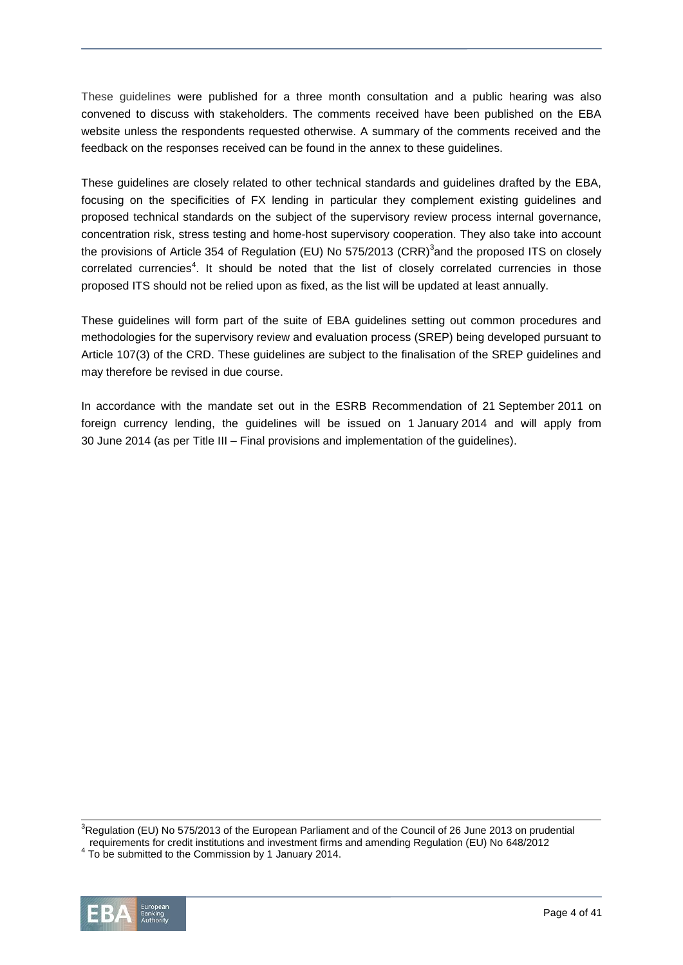These guidelines were published for a three month consultation and a public hearing was also convened to discuss with stakeholders. The comments received have been published on the EBA website unless the respondents requested otherwise. A summary of the comments received and the feedback on the responses received can be found in the annex to these guidelines.

These guidelines are closely related to other technical standards and guidelines drafted by the EBA, focusing on the specificities of FX lending in particular they complement existing guidelines and proposed technical standards on the subject of the supervisory review process internal governance, concentration risk, stress testing and home-host supervisory cooperation. They also take into account the provisions of Article 354 of Regulation (EU) No 575/2013 (CRR)<sup>3</sup>and the proposed ITS on closely correlated currencies<sup>4</sup>. It should be noted that the list of closely correlated currencies in those proposed ITS should not be relied upon as fixed, as the list will be updated at least annually.

These guidelines will form part of the suite of EBA guidelines setting out common procedures and methodologies for the supervisory review and evaluation process (SREP) being developed pursuant to Article 107(3) of the CRD. These guidelines are subject to the finalisation of the SREP guidelines and may therefore be revised in due course.

In accordance with the mandate set out in the ESRB Recommendation of 21 September 2011 on foreign currency lending, the guidelines will be issued on 1 January 2014 and will apply from 30 June 2014 (as per Title III – Final provisions and implementation of the guidelines).

 $3$ Regulation (EU) No 575/2013 of the European Parliament and of the Council of 26 June 2013 on prudential requirements for credit institutions and investment firms and amending Regulation (EU) No 648/2012

 $4$  To be submitted to the Commission by 1 January 2014.



l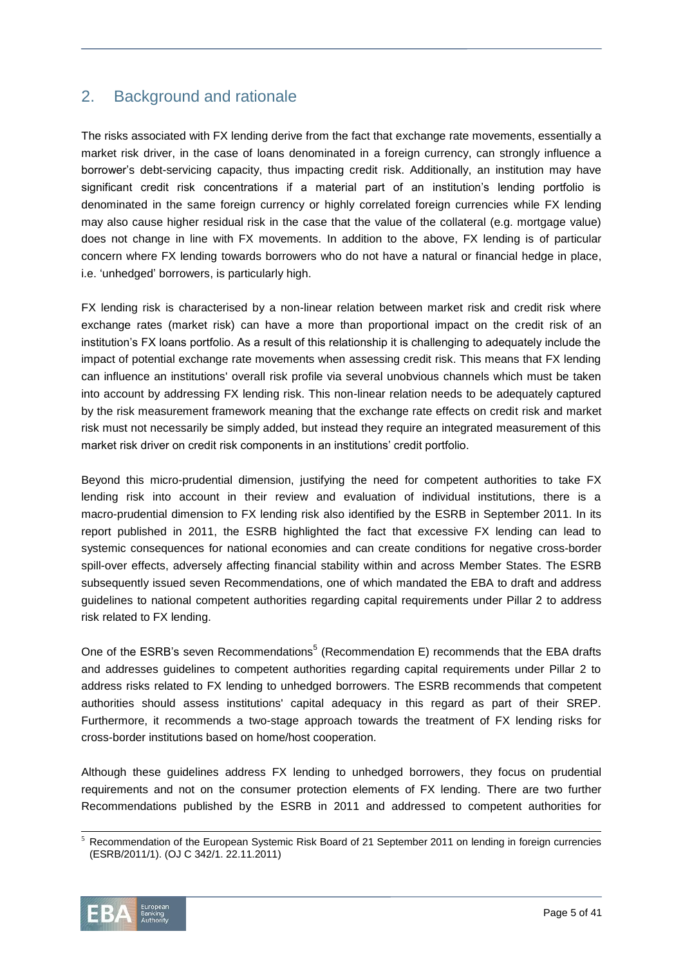# <span id="page-4-0"></span>2. Background and rationale

The risks associated with FX lending derive from the fact that exchange rate movements, essentially a market risk driver, in the case of loans denominated in a foreign currency, can strongly influence a borrower's debt-servicing capacity, thus impacting credit risk. Additionally, an institution may have significant credit risk concentrations if a material part of an institution's lending portfolio is denominated in the same foreign currency or highly correlated foreign currencies while FX lending may also cause higher residual risk in the case that the value of the collateral (e.g. mortgage value) does not change in line with FX movements. In addition to the above, FX lending is of particular concern where FX lending towards borrowers who do not have a natural or financial hedge in place, i.e. 'unhedged' borrowers, is particularly high.

FX lending risk is characterised by a non-linear relation between market risk and credit risk where exchange rates (market risk) can have a more than proportional impact on the credit risk of an institution's FX loans portfolio. As a result of this relationship it is challenging to adequately include the impact of potential exchange rate movements when assessing credit risk. This means that FX lending can influence an institutions' overall risk profile via several unobvious channels which must be taken into account by addressing FX lending risk. This non-linear relation needs to be adequately captured by the risk measurement framework meaning that the exchange rate effects on credit risk and market risk must not necessarily be simply added, but instead they require an integrated measurement of this market risk driver on credit risk components in an institutions' credit portfolio.

Beyond this micro-prudential dimension, justifying the need for competent authorities to take FX lending risk into account in their review and evaluation of individual institutions, there is a macro-prudential dimension to FX lending risk also identified by the ESRB in September 2011. In its report published in 2011, the ESRB highlighted the fact that excessive FX lending can lead to systemic consequences for national economies and can create conditions for negative cross-border spill-over effects, adversely affecting financial stability within and across Member States. The ESRB subsequently issued seven Recommendations, one of which mandated the EBA to draft and address guidelines to national competent authorities regarding capital requirements under Pillar 2 to address risk related to FX lending.

One of the ESRB's seven Recommendations<sup>5</sup> (Recommendation E) recommends that the EBA drafts and addresses guidelines to competent authorities regarding capital requirements under Pillar 2 to address risks related to FX lending to unhedged borrowers. The ESRB recommends that competent authorities should assess institutions' capital adequacy in this regard as part of their SREP. Furthermore, it recommends a two-stage approach towards the treatment of FX lending risks for cross-border institutions based on home/host cooperation.

Although these guidelines address FX lending to unhedged borrowers, they focus on prudential requirements and not on the consumer protection elements of FX lending. There are two further Recommendations published by the ESRB in 2011 and addressed to competent authorities for

l  $<sup>5</sup>$  Recommendation of the European Systemic Risk Board of 21 September 2011 on lending in foreign currencies</sup> (ESRB/2011/1). (OJ C 342/1. 22.11.2011)

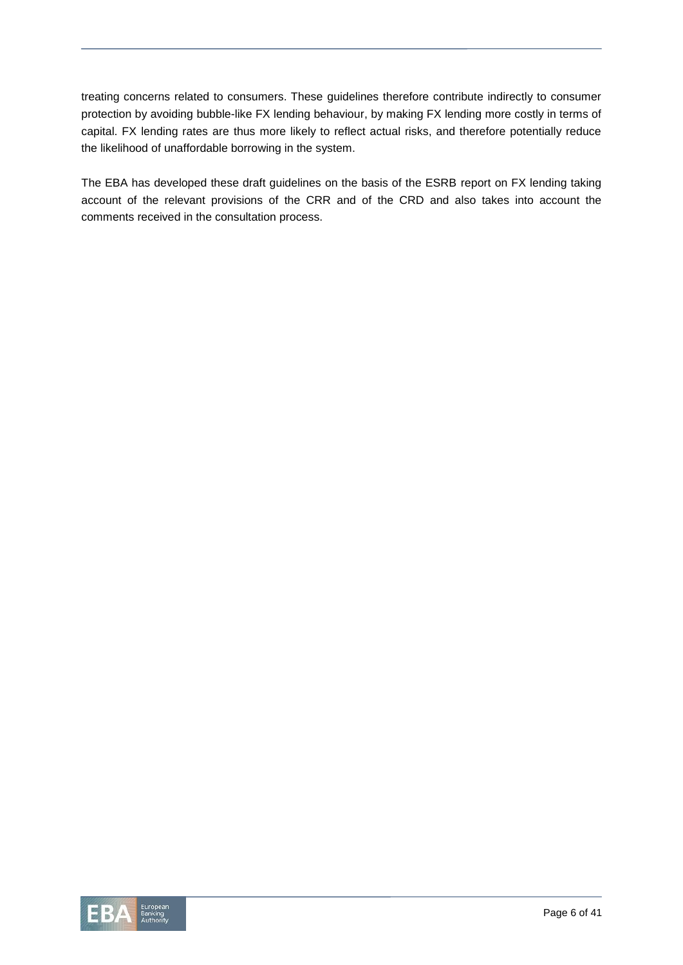treating concerns related to consumers. These guidelines therefore contribute indirectly to consumer protection by avoiding bubble-like FX lending behaviour, by making FX lending more costly in terms of capital. FX lending rates are thus more likely to reflect actual risks, and therefore potentially reduce the likelihood of unaffordable borrowing in the system.

The EBA has developed these draft guidelines on the basis of the ESRB report on FX lending taking account of the relevant provisions of the CRR and of the CRD and also takes into account the comments received in the consultation process.

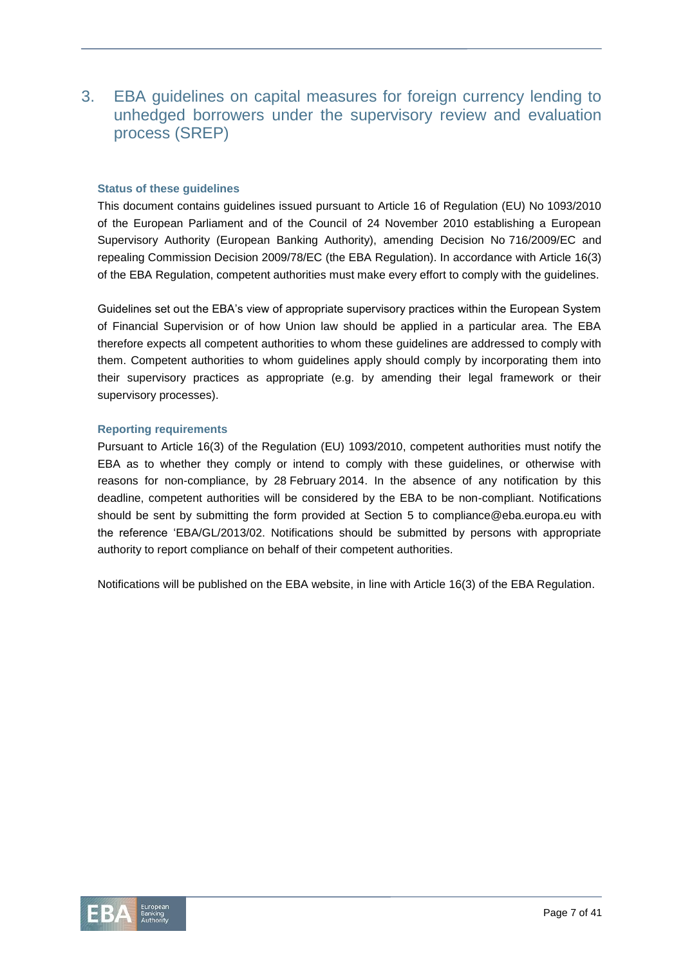# <span id="page-6-0"></span>3. EBA guidelines on capital measures for foreign currency lending to unhedged borrowers under the supervisory review and evaluation process (SREP)

#### **Status of these guidelines**

This document contains guidelines issued pursuant to Article 16 of Regulation (EU) No 1093/2010 of the European Parliament and of the Council of 24 November 2010 establishing a European Supervisory Authority (European Banking Authority), amending Decision No 716/2009/EC and repealing Commission Decision 2009/78/EC (the EBA Regulation). In accordance with Article 16(3) of the EBA Regulation, competent authorities must make every effort to comply with the guidelines.

Guidelines set out the EBA's view of appropriate supervisory practices within the European System of Financial Supervision or of how Union law should be applied in a particular area. The EBA therefore expects all competent authorities to whom these guidelines are addressed to comply with them. Competent authorities to whom guidelines apply should comply by incorporating them into their supervisory practices as appropriate (e.g. by amending their legal framework or their supervisory processes).

#### **Reporting requirements**

Pursuant to Article 16(3) of the Regulation (EU) 1093/2010, competent authorities must notify the EBA as to whether they comply or intend to comply with these guidelines, or otherwise with reasons for non-compliance, by 28 February 2014. In the absence of any notification by this deadline, competent authorities will be considered by the EBA to be non-compliant. Notifications should be sent by submitting the form provided at Section 5 to [compliance@eba.europa.eu](mailto:compliance@eba.europa.eu) with the reference 'EBA/GL/2013/02. Notifications should be submitted by persons with appropriate authority to report compliance on behalf of their competent authorities.

Notifications will be published on the EBA website, in line with Article 16(3) of the EBA Regulation.

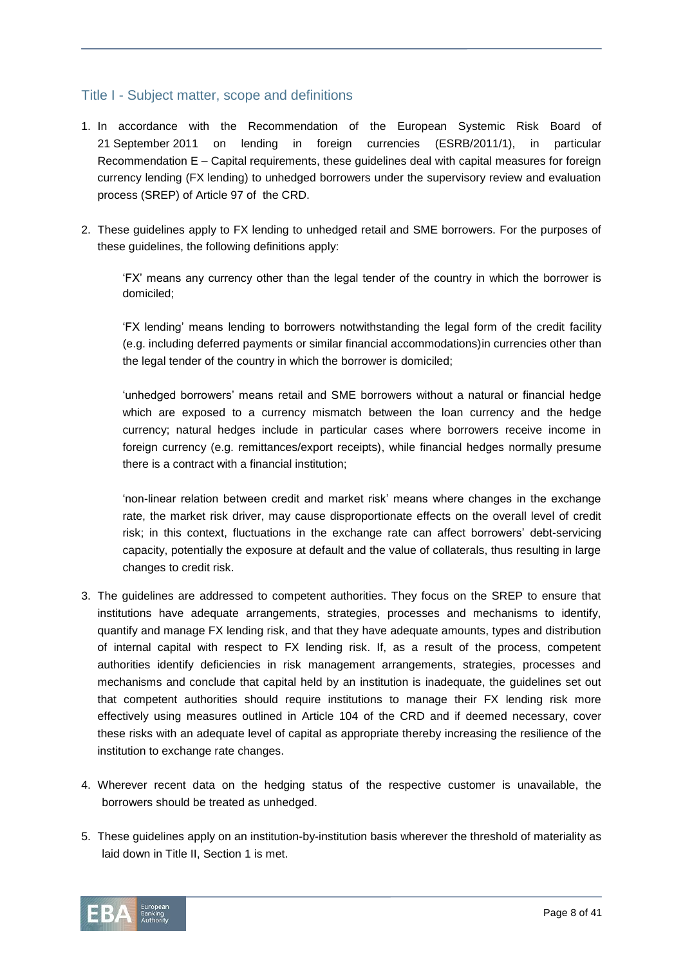# <span id="page-7-0"></span>Title I - Subject matter, scope and definitions

- 1. In accordance with the Recommendation of the European Systemic Risk Board of 21 September 2011 on lending in foreign currencies (ESRB/2011/1), in particular Recommendation E – Capital requirements, these guidelines deal with capital measures for foreign currency lending (FX lending) to unhedged borrowers under the supervisory review and evaluation process (SREP) of Article 97 of the CRD.
- 2. These guidelines apply to FX lending to unhedged retail and SME borrowers. For the purposes of these guidelines, the following definitions apply:

'FX' means any currency other than the legal tender of the country in which the borrower is domiciled;

'FX lending' means lending to borrowers notwithstanding the legal form of the credit facility (e.g. including deferred payments or similar financial accommodations)in currencies other than the legal tender of the country in which the borrower is domiciled;

'unhedged borrowers' means retail and SME borrowers without a natural or financial hedge which are exposed to a currency mismatch between the loan currency and the hedge currency; natural hedges include in particular cases where borrowers receive income in foreign currency (e.g. remittances/export receipts), while financial hedges normally presume there is a contract with a financial institution;

'non-linear relation between credit and market risk' means where changes in the exchange rate, the market risk driver, may cause disproportionate effects on the overall level of credit risk; in this context, fluctuations in the exchange rate can affect borrowers' debt-servicing capacity, potentially the exposure at default and the value of collaterals, thus resulting in large changes to credit risk.

- 3. The guidelines are addressed to competent authorities. They focus on the SREP to ensure that institutions have adequate arrangements, strategies, processes and mechanisms to identify, quantify and manage FX lending risk, and that they have adequate amounts, types and distribution of internal capital with respect to FX lending risk. If, as a result of the process, competent authorities identify deficiencies in risk management arrangements, strategies, processes and mechanisms and conclude that capital held by an institution is inadequate, the guidelines set out that competent authorities should require institutions to manage their FX lending risk more effectively using measures outlined in Article 104 of the CRD and if deemed necessary, cover these risks with an adequate level of capital as appropriate thereby increasing the resilience of the institution to exchange rate changes.
- 4. Wherever recent data on the hedging status of the respective customer is unavailable, the borrowers should be treated as unhedged.
- 5. These guidelines apply on an institution-by-institution basis wherever the threshold of materiality as laid down in Title II, Section 1 is met.

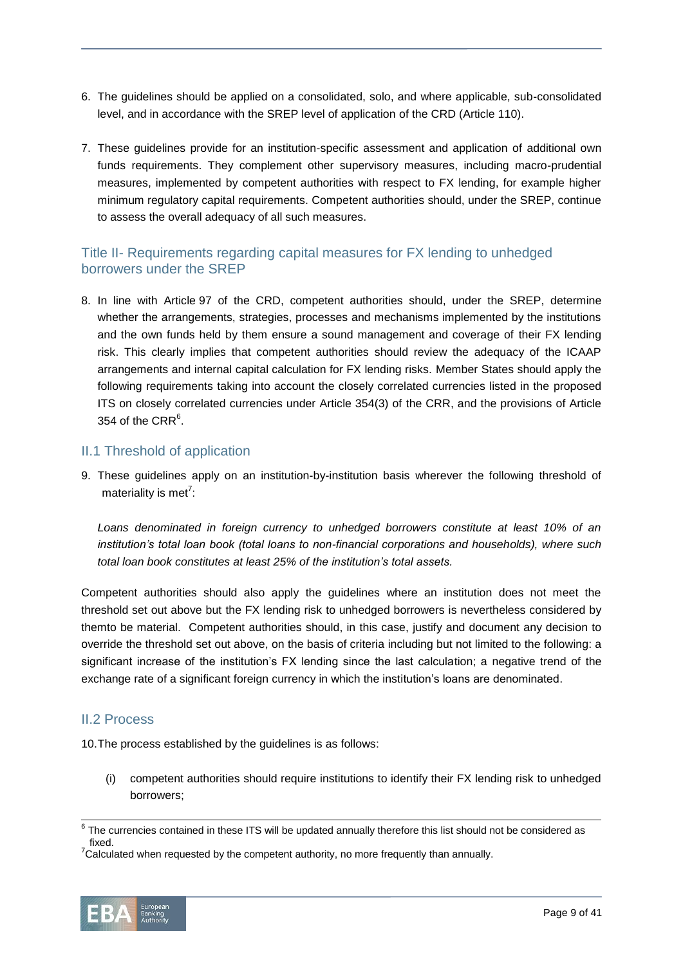- 6. The guidelines should be applied on a consolidated, solo, and where applicable, sub-consolidated level, and in accordance with the SREP level of application of the CRD (Article 110).
- 7. These guidelines provide for an institution-specific assessment and application of additional own funds requirements. They complement other supervisory measures, including macro-prudential measures, implemented by competent authorities with respect to FX lending, for example higher minimum regulatory capital requirements. Competent authorities should, under the SREP, continue to assess the overall adequacy of all such measures.

# <span id="page-8-0"></span>Title II- Requirements regarding capital measures for FX lending to unhedged borrowers under the SREP

8. In line with Article 97 of the CRD, competent authorities should, under the SREP, determine whether the arrangements, strategies, processes and mechanisms implemented by the institutions and the own funds held by them ensure a sound management and coverage of their FX lending risk. This clearly implies that competent authorities should review the adequacy of the ICAAP arrangements and internal capital calculation for FX lending risks. Member States should apply the following requirements taking into account the closely correlated currencies listed in the proposed ITS on closely correlated currencies under Article 354(3) of the CRR, and the provisions of Article 354 of the CRR $<sup>6</sup>$ .</sup>

# <span id="page-8-1"></span>II.1 Threshold of application

9. These guidelines apply on an institution-by-institution basis wherever the following threshold of materiality is met<sup>7</sup>:

Loans denominated in foreign currency to unhedged borrowers constitute at least 10% of an *institution's total loan book (total loans to non-financial corporations and households), where such total loan book constitutes at least 25% of the institution's total assets.*

Competent authorities should also apply the guidelines where an institution does not meet the threshold set out above but the FX lending risk to unhedged borrowers is nevertheless considered by themto be material. Competent authorities should, in this case, justify and document any decision to override the threshold set out above, on the basis of criteria including but not limited to the following: a significant increase of the institution's FX lending since the last calculation; a negative trend of the exchange rate of a significant foreign currency in which the institution's loans are denominated.

## <span id="page-8-2"></span>II.2 Process

10.The process established by the guidelines is as follows:

(i) competent authorities should require institutions to identify their FX lending risk to unhedged borrowers;

These.<br>Calculated when requested by the competent authority, no more frequently than annually.



 $^6$  The currencies contained in these ITS will be updated annually therefore this list should not be considered as fixed.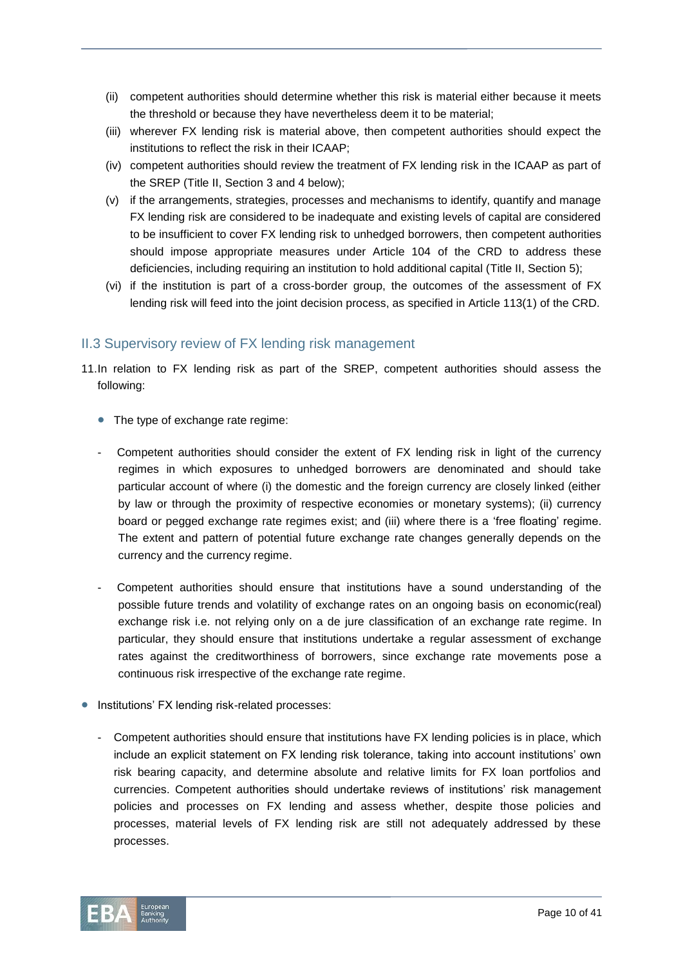- (ii) competent authorities should determine whether this risk is material either because it meets the threshold or because they have nevertheless deem it to be material;
- (iii) wherever FX lending risk is material above, then competent authorities should expect the institutions to reflect the risk in their ICAAP;
- (iv) competent authorities should review the treatment of FX lending risk in the ICAAP as part of the SREP (Title II, Section 3 and 4 below);
- (v) if the arrangements, strategies, processes and mechanisms to identify, quantify and manage FX lending risk are considered to be inadequate and existing levels of capital are considered to be insufficient to cover FX lending risk to unhedged borrowers, then competent authorities should impose appropriate measures under Article 104 of the CRD to address these deficiencies, including requiring an institution to hold additional capital (Title II, Section 5);
- (vi) if the institution is part of a cross-border group, the outcomes of the assessment of FX lending risk will feed into the joint decision process, as specified in Article 113(1) of the CRD.

# <span id="page-9-0"></span>II.3 Supervisory review of FX lending risk management

- 11.In relation to FX lending risk as part of the SREP, competent authorities should assess the following:
	- The type of exchange rate regime:
	- Competent authorities should consider the extent of FX lending risk in light of the currency regimes in which exposures to unhedged borrowers are denominated and should take particular account of where (i) the domestic and the foreign currency are closely linked (either by law or through the proximity of respective economies or monetary systems); (ii) currency board or pegged exchange rate regimes exist; and (iii) where there is a 'free floating' regime. The extent and pattern of potential future exchange rate changes generally depends on the currency and the currency regime.
	- Competent authorities should ensure that institutions have a sound understanding of the possible future trends and volatility of exchange rates on an ongoing basis on economic(real) exchange risk i.e. not relying only on a de jure classification of an exchange rate regime. In particular, they should ensure that institutions undertake a regular assessment of exchange rates against the creditworthiness of borrowers, since exchange rate movements pose a continuous risk irrespective of the exchange rate regime.
- **•** Institutions' FX lending risk-related processes:
	- Competent authorities should ensure that institutions have FX lending policies is in place, which include an explicit statement on FX lending risk tolerance, taking into account institutions' own risk bearing capacity, and determine absolute and relative limits for FX loan portfolios and currencies. Competent authorities should undertake reviews of institutions' risk management policies and processes on FX lending and assess whether, despite those policies and processes, material levels of FX lending risk are still not adequately addressed by these processes.

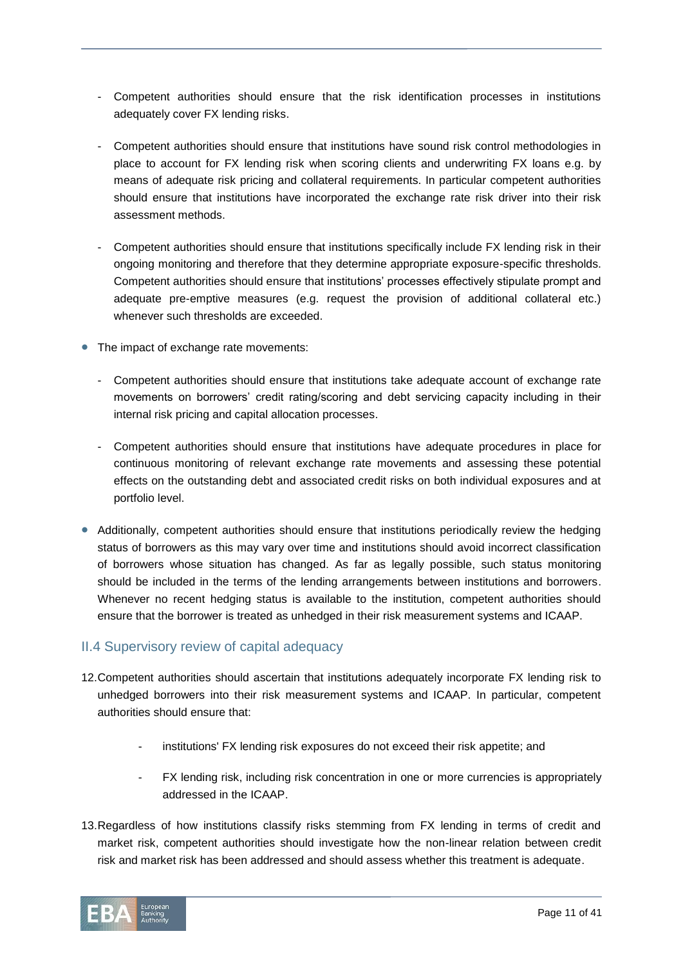- Competent authorities should ensure that the risk identification processes in institutions adequately cover FX lending risks.
- Competent authorities should ensure that institutions have sound risk control methodologies in place to account for FX lending risk when scoring clients and underwriting FX loans e.g. by means of adequate risk pricing and collateral requirements. In particular competent authorities should ensure that institutions have incorporated the exchange rate risk driver into their risk assessment methods.
- Competent authorities should ensure that institutions specifically include FX lending risk in their ongoing monitoring and therefore that they determine appropriate exposure-specific thresholds. Competent authorities should ensure that institutions' processes effectively stipulate prompt and adequate pre-emptive measures (e.g. request the provision of additional collateral etc.) whenever such thresholds are exceeded.
- The impact of exchange rate movements:
	- Competent authorities should ensure that institutions take adequate account of exchange rate movements on borrowers' credit rating/scoring and debt servicing capacity including in their internal risk pricing and capital allocation processes.
	- Competent authorities should ensure that institutions have adequate procedures in place for continuous monitoring of relevant exchange rate movements and assessing these potential effects on the outstanding debt and associated credit risks on both individual exposures and at portfolio level.
- Additionally, competent authorities should ensure that institutions periodically review the hedging status of borrowers as this may vary over time and institutions should avoid incorrect classification of borrowers whose situation has changed. As far as legally possible, such status monitoring should be included in the terms of the lending arrangements between institutions and borrowers. Whenever no recent hedging status is available to the institution, competent authorities should ensure that the borrower is treated as unhedged in their risk measurement systems and ICAAP.

## <span id="page-10-0"></span>II.4 Supervisory review of capital adequacy

- 12.Competent authorities should ascertain that institutions adequately incorporate FX lending risk to unhedged borrowers into their risk measurement systems and ICAAP. In particular, competent authorities should ensure that:
	- institutions' FX lending risk exposures do not exceed their risk appetite; and
	- FX lending risk, including risk concentration in one or more currencies is appropriately addressed in the ICAAP.
- 13.Regardless of how institutions classify risks stemming from FX lending in terms of credit and market risk, competent authorities should investigate how the non-linear relation between credit risk and market risk has been addressed and should assess whether this treatment is adequate.

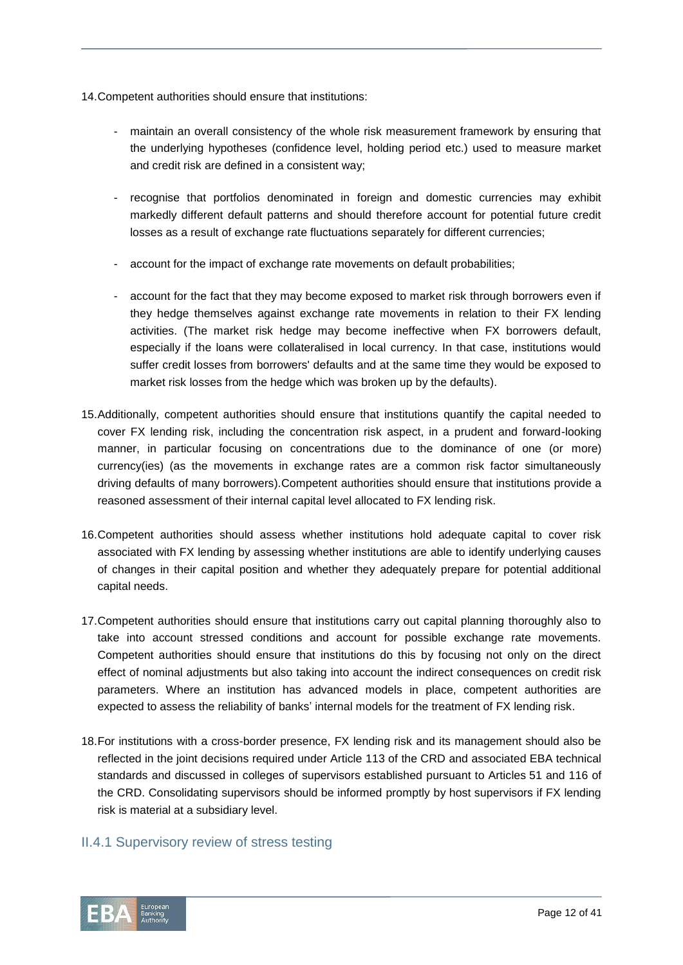- 14.Competent authorities should ensure that institutions:
	- maintain an overall consistency of the whole risk measurement framework by ensuring that the underlying hypotheses (confidence level, holding period etc.) used to measure market and credit risk are defined in a consistent way;
	- recognise that portfolios denominated in foreign and domestic currencies may exhibit markedly different default patterns and should therefore account for potential future credit losses as a result of exchange rate fluctuations separately for different currencies;
	- account for the impact of exchange rate movements on default probabilities;
	- account for the fact that they may become exposed to market risk through borrowers even if they hedge themselves against exchange rate movements in relation to their FX lending activities. (The market risk hedge may become ineffective when FX borrowers default, especially if the loans were collateralised in local currency. In that case, institutions would suffer credit losses from borrowers' defaults and at the same time they would be exposed to market risk losses from the hedge which was broken up by the defaults).
- 15.Additionally, competent authorities should ensure that institutions quantify the capital needed to cover FX lending risk, including the concentration risk aspect, in a prudent and forward-looking manner, in particular focusing on concentrations due to the dominance of one (or more) currency(ies) (as the movements in exchange rates are a common risk factor simultaneously driving defaults of many borrowers).Competent authorities should ensure that institutions provide a reasoned assessment of their internal capital level allocated to FX lending risk.
- 16.Competent authorities should assess whether institutions hold adequate capital to cover risk associated with FX lending by assessing whether institutions are able to identify underlying causes of changes in their capital position and whether they adequately prepare for potential additional capital needs.
- 17.Competent authorities should ensure that institutions carry out capital planning thoroughly also to take into account stressed conditions and account for possible exchange rate movements. Competent authorities should ensure that institutions do this by focusing not only on the direct effect of nominal adjustments but also taking into account the indirect consequences on credit risk parameters. Where an institution has advanced models in place, competent authorities are expected to assess the reliability of banks' internal models for the treatment of FX lending risk.
- 18.For institutions with a cross-border presence, FX lending risk and its management should also be reflected in the joint decisions required under Article 113 of the CRD and associated EBA technical standards and discussed in colleges of supervisors established pursuant to Articles 51 and 116 of the CRD. Consolidating supervisors should be informed promptly by host supervisors if FX lending risk is material at a subsidiary level.

## II.4.1 Supervisory review of stress testing

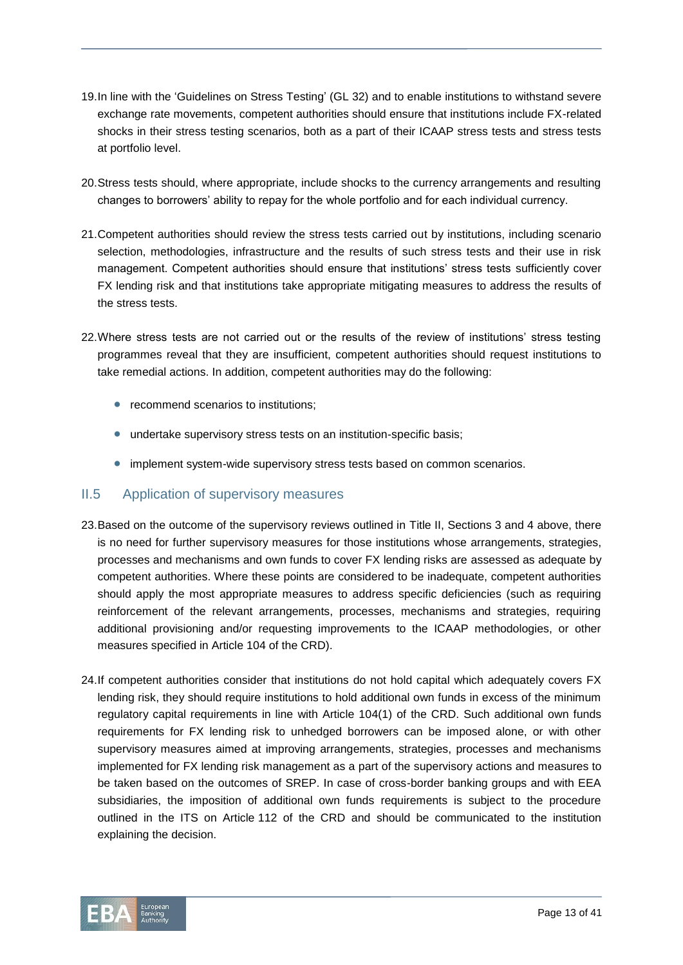- 19.In line with the 'Guidelines on Stress Testing' (GL 32) and to enable institutions to withstand severe exchange rate movements, competent authorities should ensure that institutions include FX-related shocks in their stress testing scenarios, both as a part of their ICAAP stress tests and stress tests at portfolio level.
- 20.Stress tests should, where appropriate, include shocks to the currency arrangements and resulting changes to borrowers' ability to repay for the whole portfolio and for each individual currency.
- 21.Competent authorities should review the stress tests carried out by institutions, including scenario selection, methodologies, infrastructure and the results of such stress tests and their use in risk management. Competent authorities should ensure that institutions' stress tests sufficiently cover FX lending risk and that institutions take appropriate mitigating measures to address the results of the stress tests.
- 22.Where stress tests are not carried out or the results of the review of institutions' stress testing programmes reveal that they are insufficient, competent authorities should request institutions to take remedial actions. In addition, competent authorities may do the following:
	- recommend scenarios to institutions:
	- undertake supervisory stress tests on an institution-specific basis;
	- implement system-wide supervisory stress tests based on common scenarios.

## <span id="page-12-0"></span>II.5 Application of supervisory measures

- 23.Based on the outcome of the supervisory reviews outlined in Title II, Sections 3 and 4 above, there is no need for further supervisory measures for those institutions whose arrangements, strategies, processes and mechanisms and own funds to cover FX lending risks are assessed as adequate by competent authorities. Where these points are considered to be inadequate, competent authorities should apply the most appropriate measures to address specific deficiencies (such as requiring reinforcement of the relevant arrangements, processes, mechanisms and strategies, requiring additional provisioning and/or requesting improvements to the ICAAP methodologies, or other measures specified in Article 104 of the CRD).
- 24.If competent authorities consider that institutions do not hold capital which adequately covers FX lending risk, they should require institutions to hold additional own funds in excess of the minimum regulatory capital requirements in line with Article 104(1) of the CRD. Such additional own funds requirements for FX lending risk to unhedged borrowers can be imposed alone, or with other supervisory measures aimed at improving arrangements, strategies, processes and mechanisms implemented for FX lending risk management as a part of the supervisory actions and measures to be taken based on the outcomes of SREP. In case of cross-border banking groups and with EEA subsidiaries, the imposition of additional own funds requirements is subject to the procedure outlined in the ITS on Article 112 of the CRD and should be communicated to the institution explaining the decision.

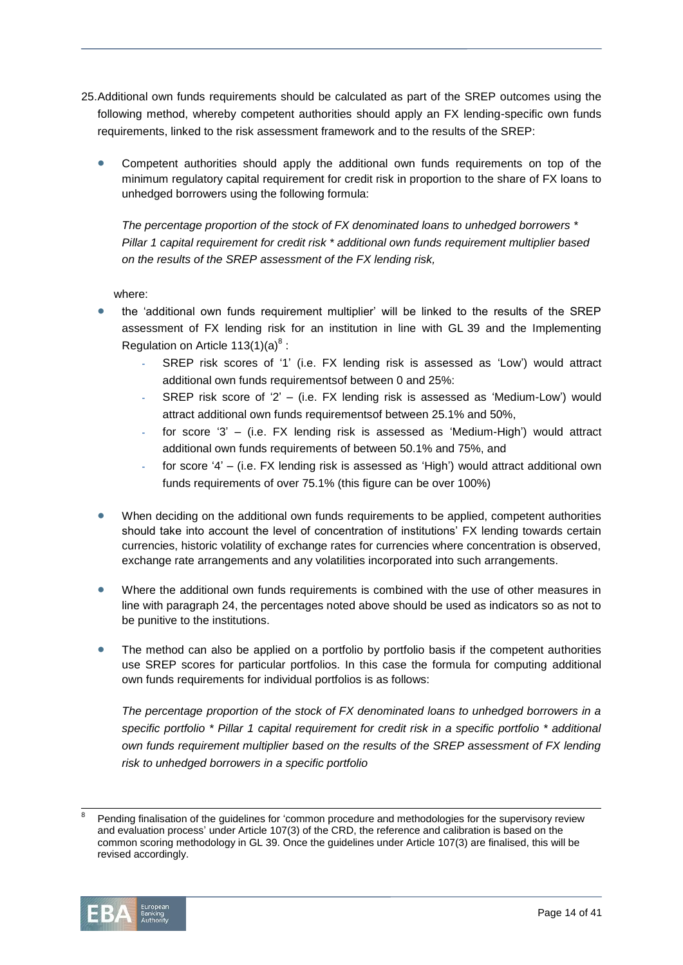- 25.Additional own funds requirements should be calculated as part of the SREP outcomes using the following method, whereby competent authorities should apply an FX lending-specific own funds requirements, linked to the risk assessment framework and to the results of the SREP:
	- Competent authorities should apply the additional own funds requirements on top of the minimum regulatory capital requirement for credit risk in proportion to the share of FX loans to unhedged borrowers using the following formula:

*The percentage proportion of the stock of FX denominated loans to unhedged borrowers \* Pillar 1 capital requirement for credit risk \* additional own funds requirement multiplier based on the results of the SREP assessment of the FX lending risk,*

where:

- the 'additional own funds requirement multiplier' will be linked to the results of the SREP assessment of FX lending risk for an institution in line with GL 39 and the Implementing Regulation on Article 113(1)(a) $^{8}$  :
	- **-** SREP risk scores of '1' (i.e. FX lending risk is assessed as 'Low') would attract additional own funds requirementsof between 0 and 25%:
	- **-** SREP risk score of '2' (i.e. FX lending risk is assessed as 'Medium-Low') would attract additional own funds requirementsof between 25.1% and 50%,
	- **-** for score '3' (i.e. FX lending risk is assessed as 'Medium-High') would attract additional own funds requirements of between 50.1% and 75%, and
	- **-** for score '4' (i.e. FX lending risk is assessed as 'High') would attract additional own funds requirements of over 75.1% (this figure can be over 100%)
- When deciding on the additional own funds requirements to be applied, competent authorities should take into account the level of concentration of institutions' FX lending towards certain currencies, historic volatility of exchange rates for currencies where concentration is observed, exchange rate arrangements and any volatilities incorporated into such arrangements.
- Where the additional own funds requirements is combined with the use of other measures in line with paragraph 24, the percentages noted above should be used as indicators so as not to be punitive to the institutions.
- The method can also be applied on a portfolio by portfolio basis if the competent authorities use SREP scores for particular portfolios. In this case the formula for computing additional own funds requirements for individual portfolios is as follows:

*The percentage proportion of the stock of FX denominated loans to unhedged borrowers in a specific portfolio \* Pillar 1 capital requirement for credit risk in a specific portfolio \* additional own funds requirement multiplier based on the results of the SREP assessment of FX lending risk to unhedged borrowers in a specific portfolio*

l 8 Pending finalisation of the guidelines for 'common procedure and methodologies for the supervisory review and evaluation process' under Article 107(3) of the CRD, the reference and calibration is based on the common scoring methodology in GL 39. Once the guidelines under Article 107(3) are finalised, this will be revised accordingly.

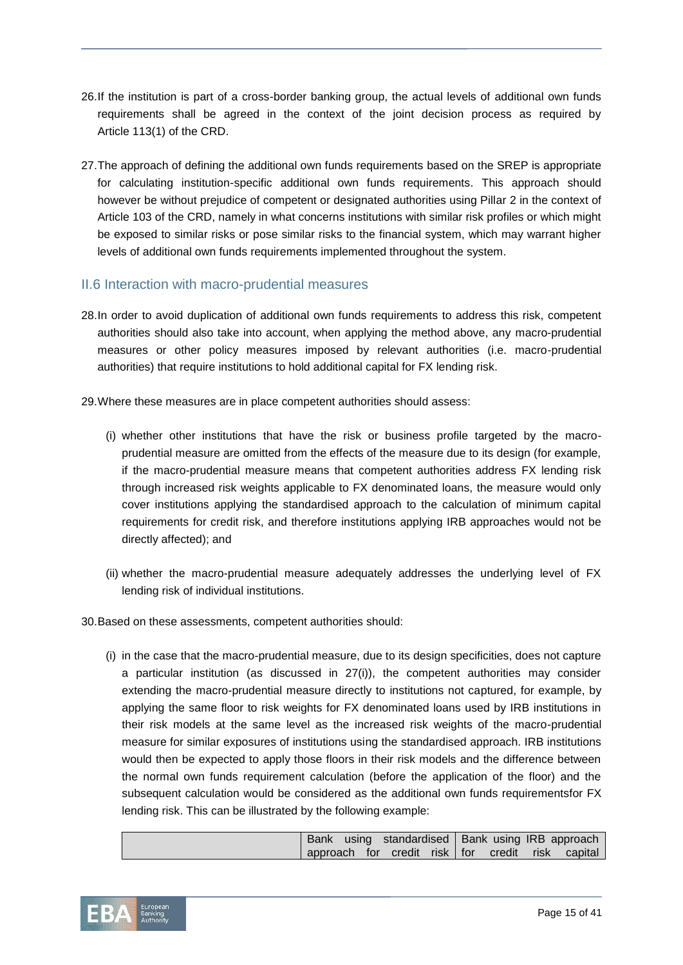- 26.If the institution is part of a cross-border banking group, the actual levels of additional own funds requirements shall be agreed in the context of the joint decision process as required by Article 113(1) of the CRD.
- 27.The approach of defining the additional own funds requirements based on the SREP is appropriate for calculating institution-specific additional own funds requirements. This approach should however be without prejudice of competent or designated authorities using Pillar 2 in the context of Article 103 of the CRD, namely in what concerns institutions with similar risk profiles or which might be exposed to similar risks or pose similar risks to the financial system, which may warrant higher levels of additional own funds requirements implemented throughout the system.

## <span id="page-14-0"></span>II.6 Interaction with macro-prudential measures

- 28.In order to avoid duplication of additional own funds requirements to address this risk, competent authorities should also take into account, when applying the method above, any macro-prudential measures or other policy measures imposed by relevant authorities (i.e. macro-prudential authorities) that require institutions to hold additional capital for FX lending risk.
- 29.Where these measures are in place competent authorities should assess:
	- (i) whether other institutions that have the risk or business profile targeted by the macroprudential measure are omitted from the effects of the measure due to its design (for example, if the macro-prudential measure means that competent authorities address FX lending risk through increased risk weights applicable to FX denominated loans, the measure would only cover institutions applying the standardised approach to the calculation of minimum capital requirements for credit risk, and therefore institutions applying IRB approaches would not be directly affected); and
	- (ii) whether the macro-prudential measure adequately addresses the underlying level of FX lending risk of individual institutions.
- 30.Based on these assessments, competent authorities should:
	- (i) in the case that the macro-prudential measure, due to its design specificities, does not capture a particular institution (as discussed in 27(i)), the competent authorities may consider extending the macro-prudential measure directly to institutions not captured, for example, by applying the same floor to risk weights for FX denominated loans used by IRB institutions in their risk models at the same level as the increased risk weights of the macro-prudential measure for similar exposures of institutions using the standardised approach. IRB institutions would then be expected to apply those floors in their risk models and the difference between the normal own funds requirement calculation (before the application of the floor) and the subsequent calculation would be considered as the additional own funds requirementsfor FX lending risk. This can be illustrated by the following example:

|  |  |  |  | Bank using standardised   Bank using IRB approach |
|--|--|--|--|---------------------------------------------------|
|  |  |  |  | approach for credit risk for credit risk capital  |

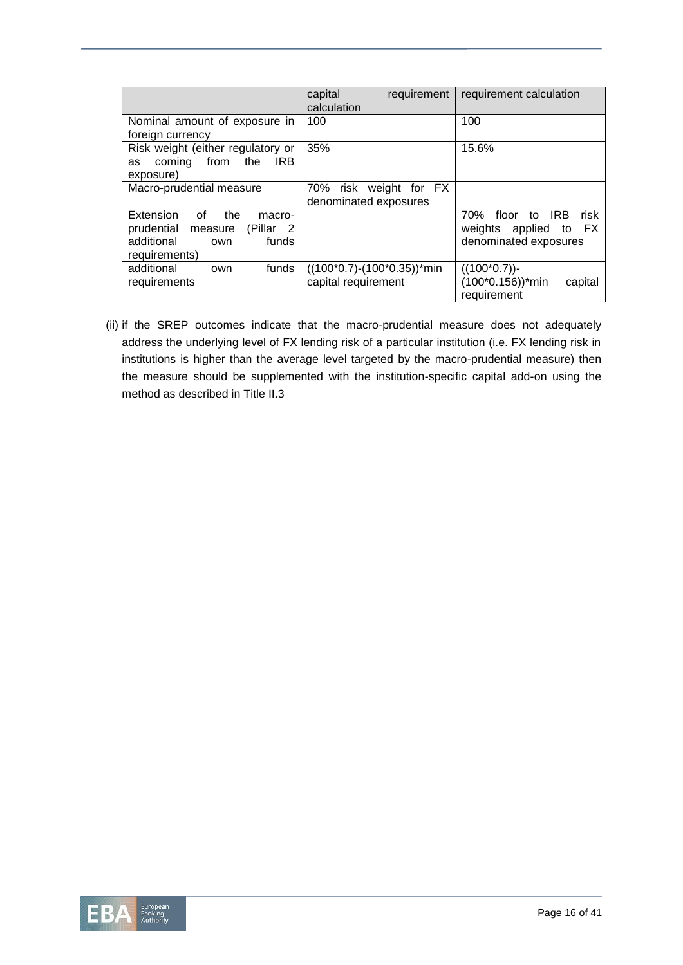|                                                     | capital<br>requirement<br>calculation | requirement calculation               |
|-----------------------------------------------------|---------------------------------------|---------------------------------------|
| Nominal amount of exposure in                       | 100                                   | 100                                   |
| foreign currency                                    |                                       |                                       |
| Risk weight (either regulatory or                   | 35%                                   | 15.6%                                 |
| from<br>coming<br>the<br>IRB.<br>as                 |                                       |                                       |
| exposure)                                           |                                       |                                       |
| Macro-prudential measure                            | 70% risk weight for FX                |                                       |
|                                                     | denominated exposures                 |                                       |
| Extension<br>Ωf<br>the<br>macro-                    |                                       | <b>IRB</b><br>risk<br>70%<br>floor to |
| prudential<br>(Pillar)<br>$\overline{2}$<br>measure |                                       | applied to FX<br>weights              |
| additional<br>funds<br>own                          |                                       | denominated exposures                 |
| requirements)                                       |                                       |                                       |
| additional<br>funds<br>own                          | $((100*0.7)-(100*0.35))*min$          | $((100*0.7))$ -                       |
| requirements                                        | capital requirement                   | $(100*0.156))^*$ min<br>capital       |
|                                                     |                                       | requirement                           |

(ii) if the SREP outcomes indicate that the macro-prudential measure does not adequately address the underlying level of FX lending risk of a particular institution (i.e. FX lending risk in institutions is higher than the average level targeted by the macro-prudential measure) then the measure should be supplemented with the institution-specific capital add-on using the method as described in Title II.3

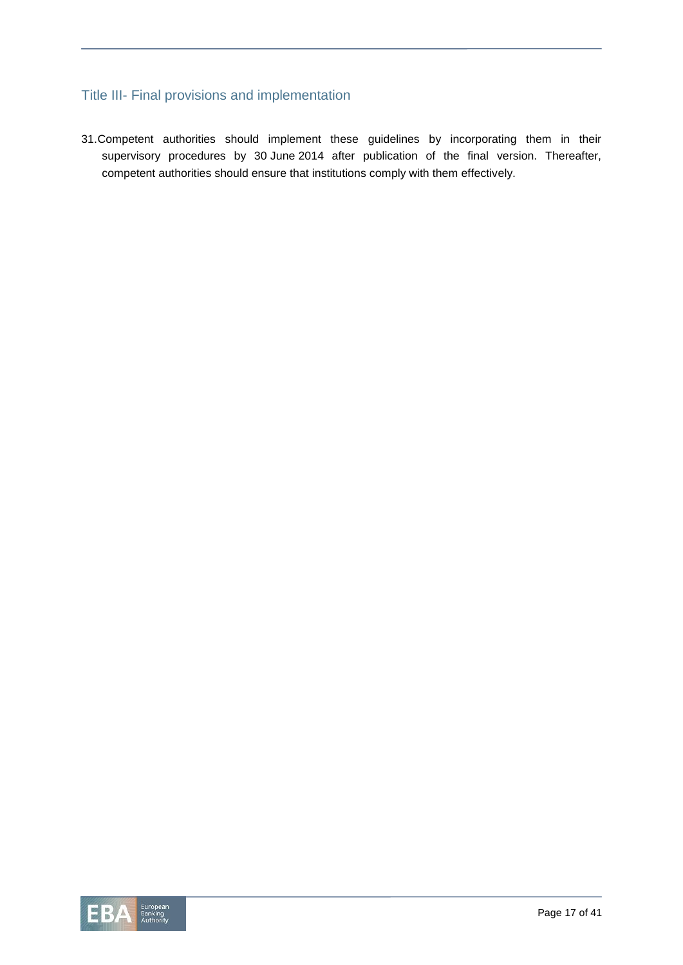# <span id="page-16-0"></span>Title III- Final provisions and implementation

31.Competent authorities should implement these guidelines by incorporating them in their supervisory procedures by 30 June 2014 after publication of the final version. Thereafter, competent authorities should ensure that institutions comply with them effectively.

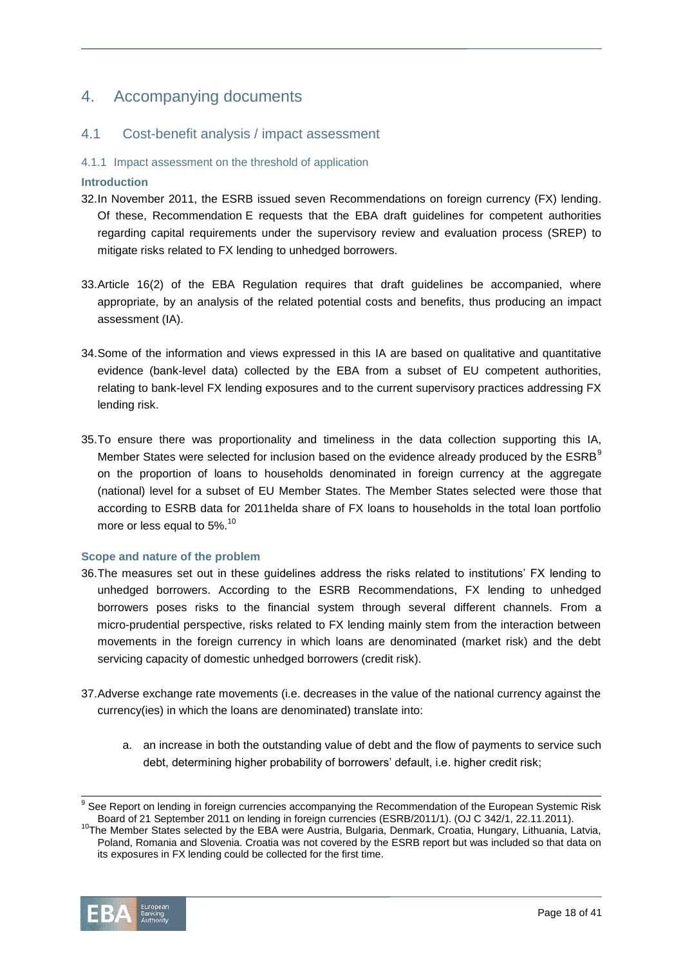# <span id="page-17-0"></span>4. Accompanying documents

# <span id="page-17-1"></span>4.1 Cost-benefit analysis / impact assessment

#### 4.1.1 Impact assessment on the threshold of application

#### **Introduction**

- 32.In November 2011, the ESRB issued seven Recommendations on foreign currency (FX) lending. Of these, Recommendation E requests that the EBA draft guidelines for competent authorities regarding capital requirements under the supervisory review and evaluation process (SREP) to mitigate risks related to FX lending to unhedged borrowers.
- 33.Article 16(2) of the EBA Regulation requires that draft guidelines be accompanied, where appropriate, by an analysis of the related potential costs and benefits, thus producing an impact assessment (IA).
- 34.Some of the information and views expressed in this IA are based on qualitative and quantitative evidence (bank-level data) collected by the EBA from a subset of EU competent authorities, relating to bank-level FX lending exposures and to the current supervisory practices addressing FX lending risk.
- 35.To ensure there was proportionality and timeliness in the data collection supporting this IA, Member States were selected for inclusion based on the evidence already produced by the  $ESRB<sup>9</sup>$ on the proportion of loans to households denominated in foreign currency at the aggregate (national) level for a subset of EU Member States. The Member States selected were those that according to ESRB data for 2011helda share of FX loans to households in the total loan portfolio more or less equal to  $5\%$ .<sup>10</sup>

#### **Scope and nature of the problem**

- 36.The measures set out in these guidelines address the risks related to institutions' FX lending to unhedged borrowers. According to the ESRB Recommendations, FX lending to unhedged borrowers poses risks to the financial system through several different channels. From a micro-prudential perspective, risks related to FX lending mainly stem from the interaction between movements in the foreign currency in which loans are denominated (market risk) and the debt servicing capacity of domestic unhedged borrowers (credit risk).
- 37.Adverse exchange rate movements (i.e. decreases in the value of the national currency against the currency(ies) in which the loans are denominated) translate into:
	- a. an increase in both the outstanding value of debt and the flow of payments to service such debt, determining higher probability of borrowers' default, i.e. higher credit risk;

<sup>&</sup>lt;sup>10</sup>The Member States selected by the EBA were Austria, Bulgaria, Denmark, Croatia, Hungary, Lithuania, Latvia, Poland, Romania and Slovenia. Croatia was not covered by the ESRB report but was included so that data on its exposures in FX lending could be collected for the first time.



l

<sup>&</sup>lt;sup>9</sup> See Report on lending in foreign currencies accompanying the Recommendation of the European Systemic Risk Board of 21 September 2011 on lending in foreign currencies (ESRB/2011/1). (OJ C 342/1, 22.11.2011).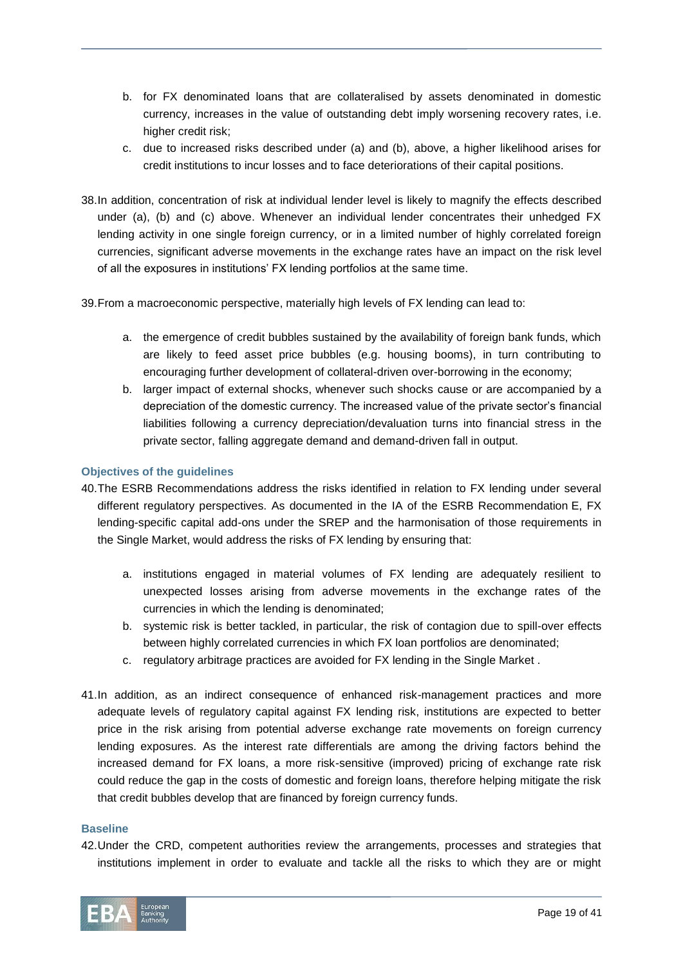- b. for FX denominated loans that are collateralised by assets denominated in domestic currency, increases in the value of outstanding debt imply worsening recovery rates, i.e. higher credit risk;
- c. due to increased risks described under (a) and (b), above, a higher likelihood arises for credit institutions to incur losses and to face deteriorations of their capital positions.
- 38.In addition, concentration of risk at individual lender level is likely to magnify the effects described under (a), (b) and (c) above. Whenever an individual lender concentrates their unhedged FX lending activity in one single foreign currency, or in a limited number of highly correlated foreign currencies, significant adverse movements in the exchange rates have an impact on the risk level of all the exposures in institutions' FX lending portfolios at the same time.

39.From a macroeconomic perspective, materially high levels of FX lending can lead to:

- a. the emergence of credit bubbles sustained by the availability of foreign bank funds, which are likely to feed asset price bubbles (e.g. housing booms), in turn contributing to encouraging further development of collateral-driven over-borrowing in the economy;
- b. larger impact of external shocks, whenever such shocks cause or are accompanied by a depreciation of the domestic currency. The increased value of the private sector's financial liabilities following a currency depreciation/devaluation turns into financial stress in the private sector, falling aggregate demand and demand-driven fall in output.

#### **Objectives of the guidelines**

- 40.The ESRB Recommendations address the risks identified in relation to FX lending under several different regulatory perspectives. As documented in the IA of the ESRB Recommendation E, FX lending-specific capital add-ons under the SREP and the harmonisation of those requirements in the Single Market, would address the risks of FX lending by ensuring that:
	- a. institutions engaged in material volumes of FX lending are adequately resilient to unexpected losses arising from adverse movements in the exchange rates of the currencies in which the lending is denominated;
	- b. systemic risk is better tackled, in particular, the risk of contagion due to spill-over effects between highly correlated currencies in which FX loan portfolios are denominated;
	- c. regulatory arbitrage practices are avoided for FX lending in the Single Market .
- 41.In addition, as an indirect consequence of enhanced risk-management practices and more adequate levels of regulatory capital against FX lending risk, institutions are expected to better price in the risk arising from potential adverse exchange rate movements on foreign currency lending exposures. As the interest rate differentials are among the driving factors behind the increased demand for FX loans, a more risk-sensitive (improved) pricing of exchange rate risk could reduce the gap in the costs of domestic and foreign loans, therefore helping mitigate the risk that credit bubbles develop that are financed by foreign currency funds.

#### **Baseline**

42.Under the CRD, competent authorities review the arrangements, processes and strategies that institutions implement in order to evaluate and tackle all the risks to which they are or might

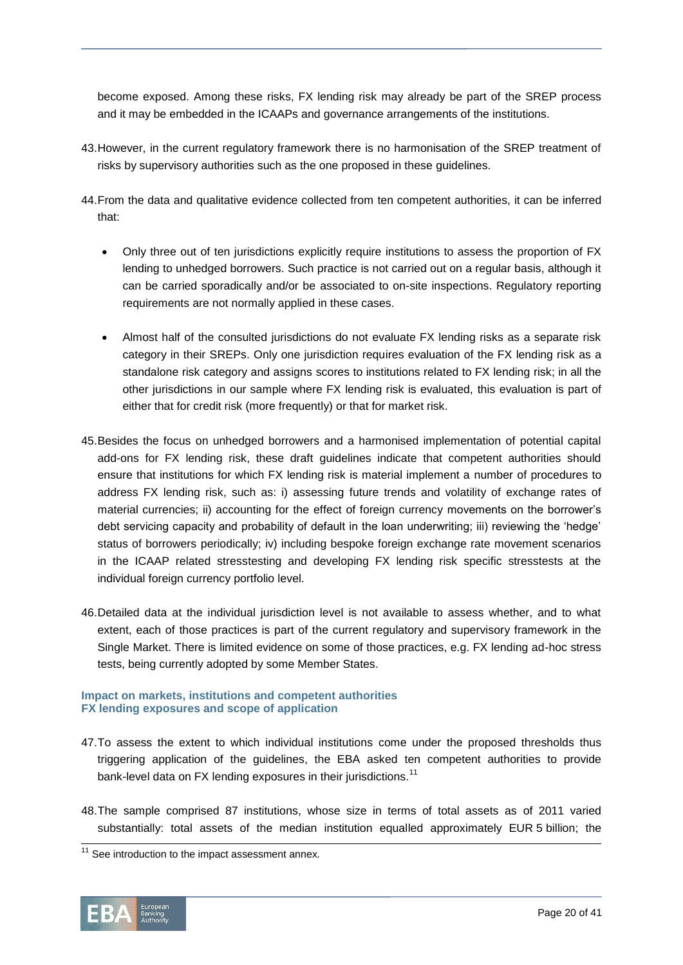become exposed. Among these risks, FX lending risk may already be part of the SREP process and it may be embedded in the ICAAPs and governance arrangements of the institutions.

- 43.However, in the current regulatory framework there is no harmonisation of the SREP treatment of risks by supervisory authorities such as the one proposed in these guidelines.
- 44.From the data and qualitative evidence collected from ten competent authorities, it can be inferred that:
	- Only three out of ten jurisdictions explicitly require institutions to assess the proportion of FX lending to unhedged borrowers. Such practice is not carried out on a regular basis, although it can be carried sporadically and/or be associated to on-site inspections. Regulatory reporting requirements are not normally applied in these cases.
	- Almost half of the consulted jurisdictions do not evaluate FX lending risks as a separate risk category in their SREPs. Only one jurisdiction requires evaluation of the FX lending risk as a standalone risk category and assigns scores to institutions related to FX lending risk; in all the other jurisdictions in our sample where FX lending risk is evaluated, this evaluation is part of either that for credit risk (more frequently) or that for market risk.
- 45.Besides the focus on unhedged borrowers and a harmonised implementation of potential capital add-ons for FX lending risk, these draft guidelines indicate that competent authorities should ensure that institutions for which FX lending risk is material implement a number of procedures to address FX lending risk, such as: i) assessing future trends and volatility of exchange rates of material currencies; ii) accounting for the effect of foreign currency movements on the borrower's debt servicing capacity and probability of default in the loan underwriting; iii) reviewing the 'hedge' status of borrowers periodically; iv) including bespoke foreign exchange rate movement scenarios in the ICAAP related stresstesting and developing FX lending risk specific stresstests at the individual foreign currency portfolio level.
- 46.Detailed data at the individual jurisdiction level is not available to assess whether, and to what extent, each of those practices is part of the current regulatory and supervisory framework in the Single Market. There is limited evidence on some of those practices, e.g. FX lending ad-hoc stress tests, being currently adopted by some Member States.

#### **Impact on markets, institutions and competent authorities FX lending exposures and scope of application**

- 47.To assess the extent to which individual institutions come under the proposed thresholds thus triggering application of the guidelines, the EBA asked ten competent authorities to provide bank-level data on FX lending exposures in their jurisdictions.<sup>11</sup>
- 48.The sample comprised 87 institutions, whose size in terms of total assets as of 2011 varied substantially: total assets of the median institution equalled approximately EUR 5 billion; the

l  $11$  See introduction to the impact assessment annex.

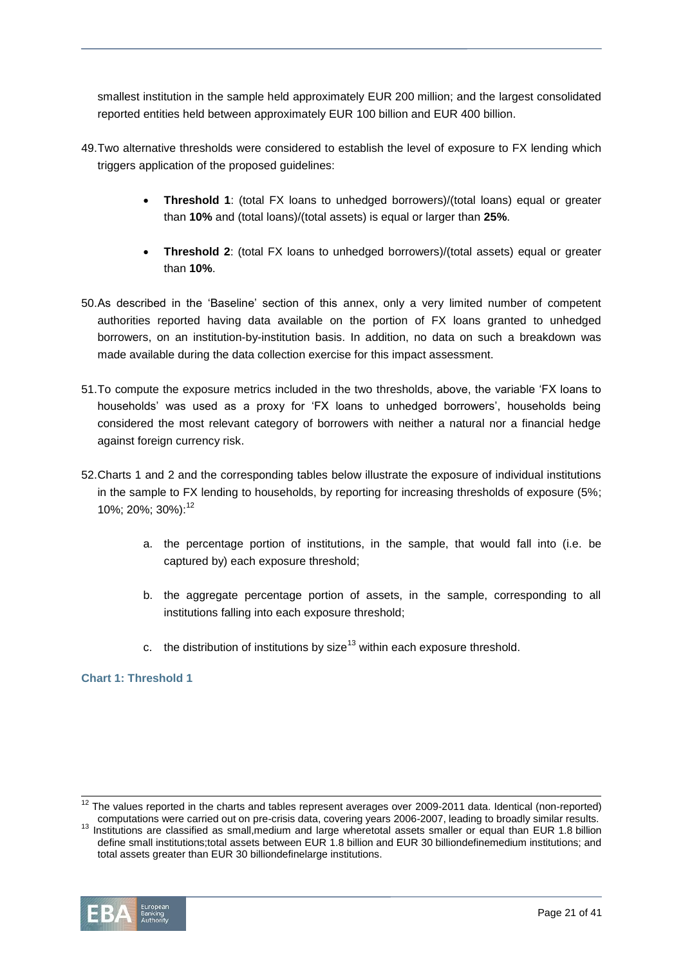smallest institution in the sample held approximately EUR 200 million; and the largest consolidated reported entities held between approximately EUR 100 billion and EUR 400 billion.

- 49.Two alternative thresholds were considered to establish the level of exposure to FX lending which triggers application of the proposed guidelines:
	- **Threshold 1**: (total FX loans to unhedged borrowers)/(total loans) equal or greater than **10%** and (total loans)/(total assets) is equal or larger than **25%**.
	- **Threshold 2:** (total FX loans to unhedged borrowers)/(total assets) equal or greater than **10%**.
- 50.As described in the 'Baseline' section of this annex, only a very limited number of competent authorities reported having data available on the portion of FX loans granted to unhedged borrowers, on an institution-by-institution basis. In addition, no data on such a breakdown was made available during the data collection exercise for this impact assessment.
- 51.To compute the exposure metrics included in the two thresholds, above, the variable 'FX loans to households' was used as a proxy for 'FX loans to unhedged borrowers', households being considered the most relevant category of borrowers with neither a natural nor a financial hedge against foreign currency risk.
- 52.Charts 1 and 2 and the corresponding tables below illustrate the exposure of individual institutions in the sample to FX lending to households, by reporting for increasing thresholds of exposure (5%; 10%; 20%; 30%):<sup>12</sup>
	- a. the percentage portion of institutions, in the sample, that would fall into (i.e. be captured by) each exposure threshold;
	- b. the aggregate percentage portion of assets, in the sample, corresponding to all institutions falling into each exposure threshold;
	- c. the distribution of institutions by size<sup>13</sup> within each exposure threshold.

#### **Chart 1: Threshold 1**

<sup>&</sup>lt;sup>13</sup> Institutions are classified as small,medium and large wheretotal assets smaller or equal than EUR 1.8 billion define small institutions;total assets between EUR 1.8 billion and EUR 30 billiondefinemedium institutions; and total assets greater than EUR 30 billiondefinelarge institutions.



 $\overline{a}$ 

 $12$  The values reported in the charts and tables represent averages over 2009-2011 data. Identical (non-reported) computations were carried out on pre-crisis data, covering years 2006-2007, leading to broadly similar results.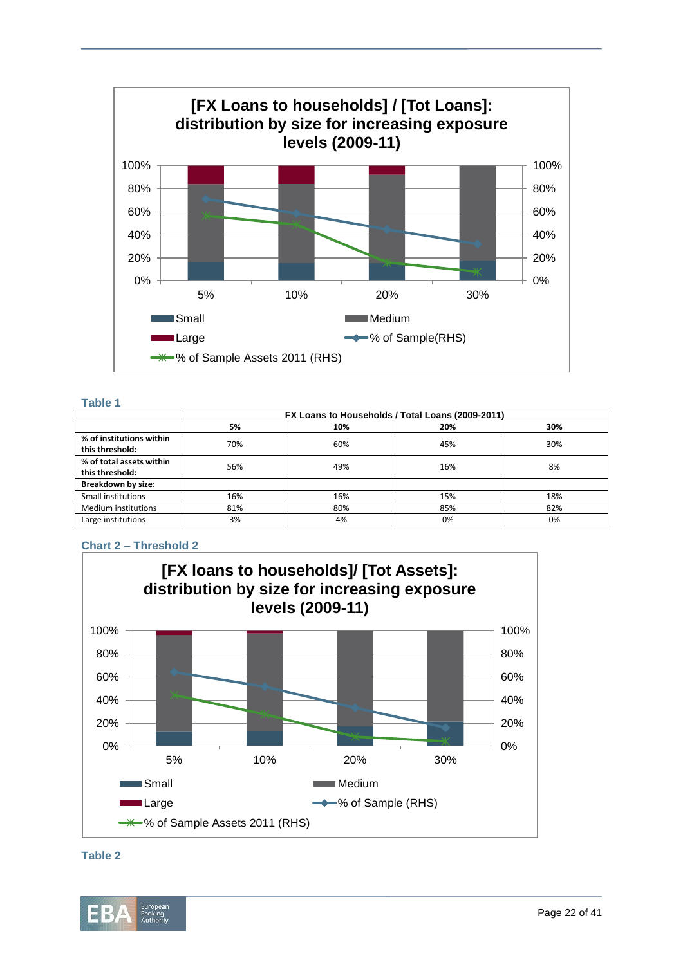

#### **Table 1**

|                          | FX Loans to Households / Total Loans (2009-2011) |     |     |     |  |  |
|--------------------------|--------------------------------------------------|-----|-----|-----|--|--|
|                          | 5%                                               | 10% | 20% | 30% |  |  |
| % of institutions within | 70%                                              | 60% | 45% | 30% |  |  |
| this threshold:          |                                                  |     |     |     |  |  |
| % of total assets within | 56%                                              | 49% | 16% | 8%  |  |  |
| this threshold:          |                                                  |     |     |     |  |  |
| Breakdown by size:       |                                                  |     |     |     |  |  |
| Small institutions       | 16%                                              | 16% | 15% | 18% |  |  |
| Medium institutions      | 81%                                              | 80% | 85% | 82% |  |  |
| Large institutions       | 3%                                               | 4%  | 0%  | 0%  |  |  |

## **Chart 2 – Threshold 2**





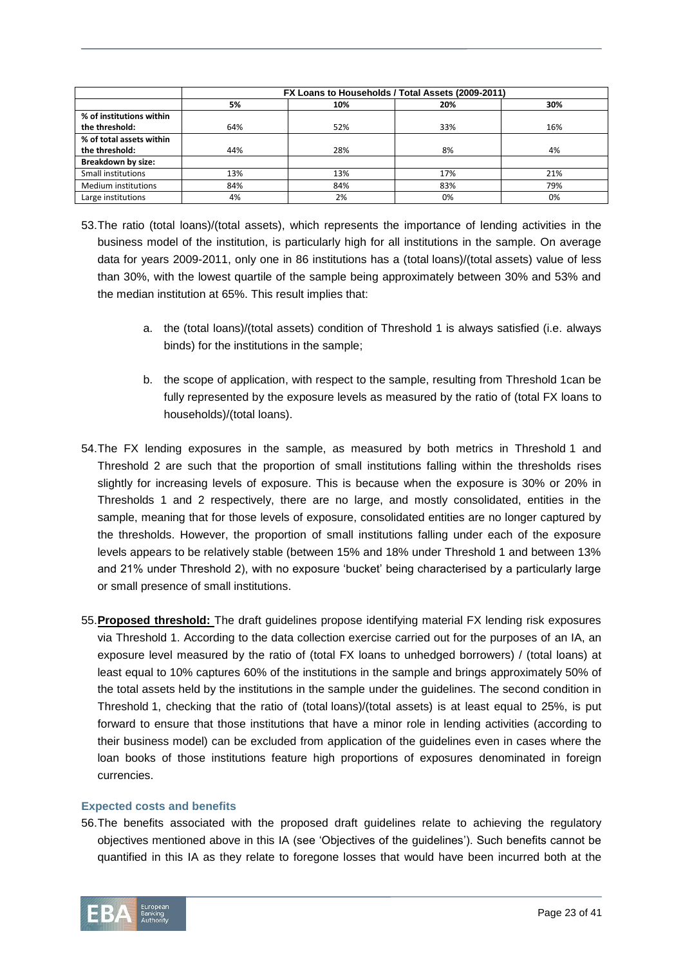|                           |     | FX Loans to Households / Total Assets (2009-2011) |     |     |
|---------------------------|-----|---------------------------------------------------|-----|-----|
|                           | 5%  | 10%                                               | 20% | 30% |
| % of institutions within  |     |                                                   |     |     |
| the threshold:            | 64% | 52%                                               | 33% | 16% |
| % of total assets within  |     |                                                   |     |     |
| the threshold:            | 44% | 28%                                               | 8%  | 4%  |
| <b>Breakdown by size:</b> |     |                                                   |     |     |
| Small institutions        | 13% | 13%                                               | 17% | 21% |
| Medium institutions       | 84% | 84%                                               | 83% | 79% |
| Large institutions        | 4%  | 2%                                                | 0%  | 0%  |

- 53.The ratio (total loans)/(total assets), which represents the importance of lending activities in the business model of the institution, is particularly high for all institutions in the sample. On average data for years 2009-2011, only one in 86 institutions has a (total loans)/(total assets) value of less than 30%, with the lowest quartile of the sample being approximately between 30% and 53% and the median institution at 65%. This result implies that:
	- a. the (total loans)/(total assets) condition of Threshold 1 is always satisfied (i.e. always binds) for the institutions in the sample;
	- b. the scope of application, with respect to the sample, resulting from Threshold 1can be fully represented by the exposure levels as measured by the ratio of (total FX loans to households)/(total loans).
- 54.The FX lending exposures in the sample, as measured by both metrics in Threshold 1 and Threshold 2 are such that the proportion of small institutions falling within the thresholds rises slightly for increasing levels of exposure. This is because when the exposure is 30% or 20% in Thresholds 1 and 2 respectively, there are no large, and mostly consolidated, entities in the sample, meaning that for those levels of exposure, consolidated entities are no longer captured by the thresholds. However, the proportion of small institutions falling under each of the exposure levels appears to be relatively stable (between 15% and 18% under Threshold 1 and between 13% and 21% under Threshold 2), with no exposure 'bucket' being characterised by a particularly large or small presence of small institutions.
- 55.**Proposed threshold:** The draft guidelines propose identifying material FX lending risk exposures via Threshold 1. According to the data collection exercise carried out for the purposes of an IA, an exposure level measured by the ratio of (total FX loans to unhedged borrowers) / (total loans) at least equal to 10% captures 60% of the institutions in the sample and brings approximately 50% of the total assets held by the institutions in the sample under the guidelines. The second condition in Threshold 1, checking that the ratio of (total loans)/(total assets) is at least equal to 25%, is put forward to ensure that those institutions that have a minor role in lending activities (according to their business model) can be excluded from application of the guidelines even in cases where the loan books of those institutions feature high proportions of exposures denominated in foreign currencies.

#### **Expected costs and benefits**

56.The benefits associated with the proposed draft guidelines relate to achieving the regulatory objectives mentioned above in this IA (see 'Objectives of the guidelines'). Such benefits cannot be quantified in this IA as they relate to foregone losses that would have been incurred both at the

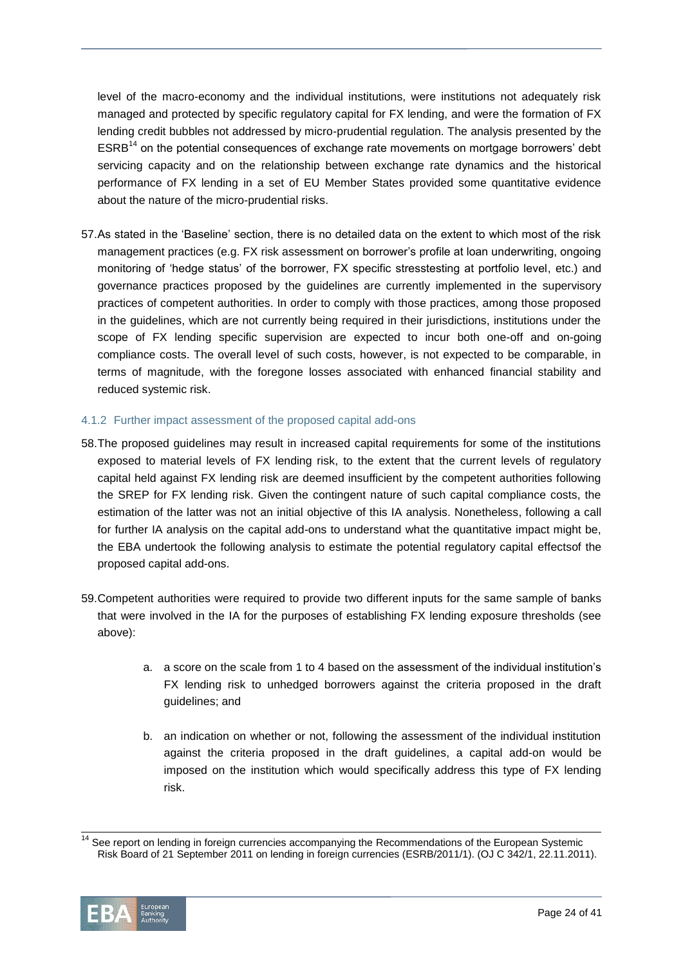level of the macro-economy and the individual institutions, were institutions not adequately risk managed and protected by specific regulatory capital for FX lending, and were the formation of FX lending credit bubbles not addressed by micro-prudential regulation. The analysis presented by the  $ESRB<sup>14</sup>$  on the potential consequences of exchange rate movements on mortgage borrowers' debt servicing capacity and on the relationship between exchange rate dynamics and the historical performance of FX lending in a set of EU Member States provided some quantitative evidence about the nature of the micro-prudential risks.

57.As stated in the 'Baseline' section, there is no detailed data on the extent to which most of the risk management practices (e.g. FX risk assessment on borrower's profile at loan underwriting, ongoing monitoring of 'hedge status' of the borrower, FX specific stresstesting at portfolio level, etc.) and governance practices proposed by the guidelines are currently implemented in the supervisory practices of competent authorities. In order to comply with those practices, among those proposed in the guidelines, which are not currently being required in their jurisdictions, institutions under the scope of FX lending specific supervision are expected to incur both one-off and on-going compliance costs. The overall level of such costs, however, is not expected to be comparable, in terms of magnitude, with the foregone losses associated with enhanced financial stability and reduced systemic risk.

#### 4.1.2 Further impact assessment of the proposed capital add-ons

- 58.The proposed guidelines may result in increased capital requirements for some of the institutions exposed to material levels of FX lending risk, to the extent that the current levels of regulatory capital held against FX lending risk are deemed insufficient by the competent authorities following the SREP for FX lending risk. Given the contingent nature of such capital compliance costs, the estimation of the latter was not an initial objective of this IA analysis. Nonetheless, following a call for further IA analysis on the capital add-ons to understand what the quantitative impact might be, the EBA undertook the following analysis to estimate the potential regulatory capital effectsof the proposed capital add-ons.
- 59.Competent authorities were required to provide two different inputs for the same sample of banks that were involved in the IA for the purposes of establishing FX lending exposure thresholds (see above):
	- a. a score on the scale from 1 to 4 based on the assessment of the individual institution's FX lending risk to unhedged borrowers against the criteria proposed in the draft guidelines; and
	- b. an indication on whether or not, following the assessment of the individual institution against the criteria proposed in the draft guidelines, a capital add-on would be imposed on the institution which would specifically address this type of FX lending risk.

 $\overline{a}$  $14$  See report on lending in foreign currencies accompanying the Recommendations of the European Systemic Risk Board of 21 September 2011 on lending in foreign currencies (ESRB/2011/1). (OJ C 342/1, 22.11.2011).

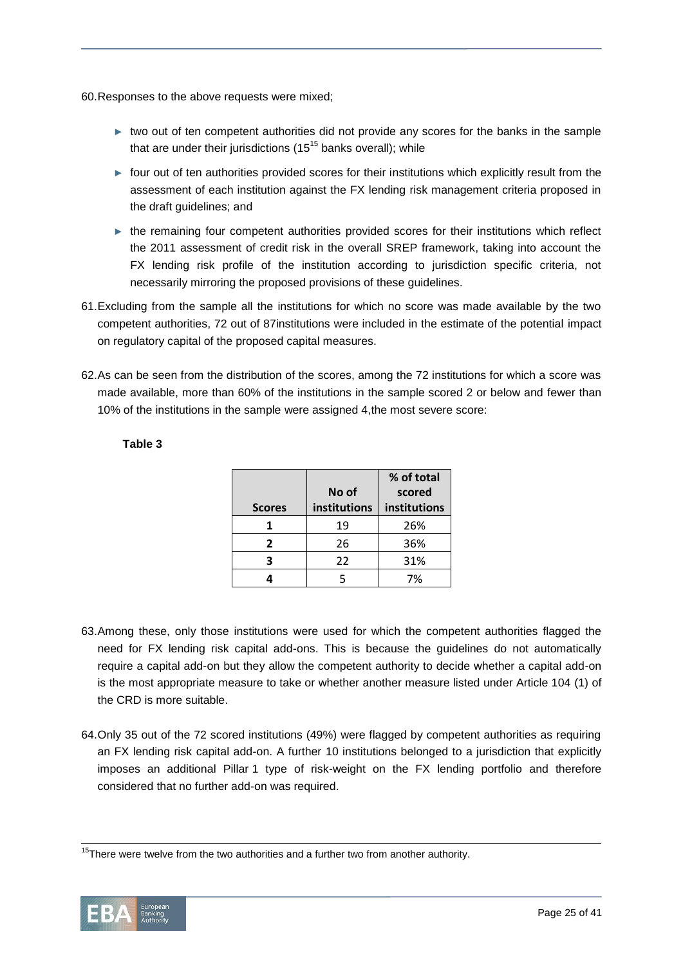60.Responses to the above requests were mixed;

- ► two out of ten competent authorities did not provide any scores for the banks in the sample that are under their jurisdictions  $(15^{15}$  banks overall); while
- ► four out of ten authorities provided scores for their institutions which explicitly result from the assessment of each institution against the FX lending risk management criteria proposed in the draft guidelines; and
- ► the remaining four competent authorities provided scores for their institutions which reflect the 2011 assessment of credit risk in the overall SREP framework, taking into account the FX lending risk profile of the institution according to jurisdiction specific criteria, not necessarily mirroring the proposed provisions of these guidelines.
- 61.Excluding from the sample all the institutions for which no score was made available by the two competent authorities, 72 out of 87institutions were included in the estimate of the potential impact on regulatory capital of the proposed capital measures.
- 62.As can be seen from the distribution of the scores, among the 72 institutions for which a score was made available, more than 60% of the institutions in the sample scored 2 or below and fewer than 10% of the institutions in the sample were assigned 4,the most severe score:

|               |              | % of total   |
|---------------|--------------|--------------|
|               | No of        | scored       |
| <b>Scores</b> | institutions | institutions |
|               | 19           | 26%          |
| 2             | 26           | 36%          |
|               | 22           | 31%          |
|               |              | 7%           |

#### **Table 3**

- 63.Among these, only those institutions were used for which the competent authorities flagged the need for FX lending risk capital add-ons. This is because the guidelines do not automatically require a capital add-on but they allow the competent authority to decide whether a capital add-on is the most appropriate measure to take or whether another measure listed under Article 104 (1) of the CRD is more suitable.
- 64.Only 35 out of the 72 scored institutions (49%) were flagged by competent authorities as requiring an FX lending risk capital add-on. A further 10 institutions belonged to a jurisdiction that explicitly imposes an additional Pillar 1 type of risk-weight on the FX lending portfolio and therefore considered that no further add-on was required.

l  $15$ There were twelve from the two authorities and a further two from another authority.

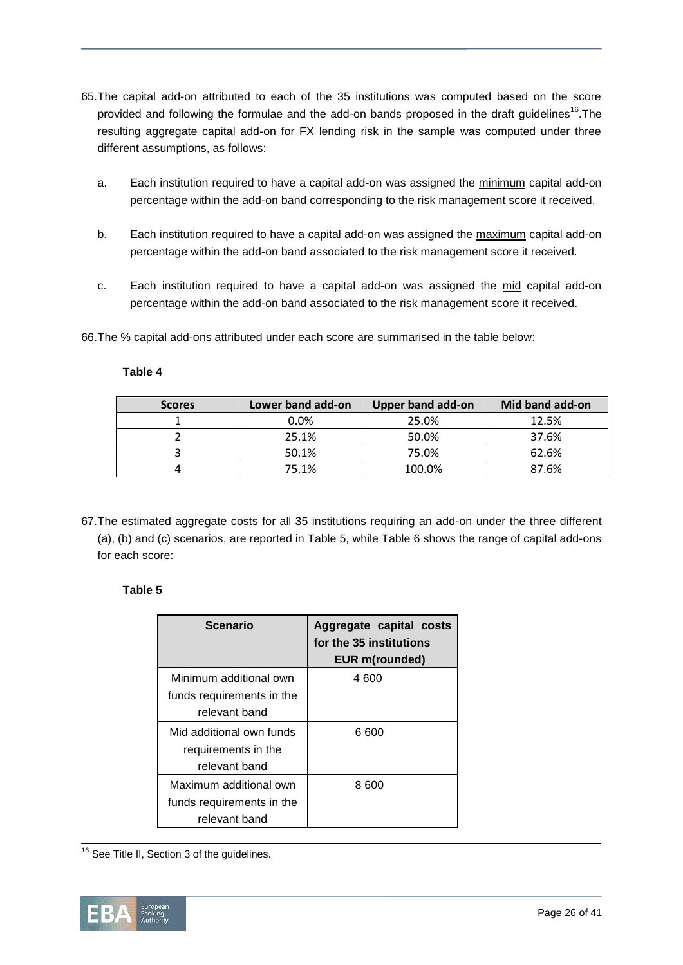- 65.The capital add-on attributed to each of the 35 institutions was computed based on the score provided and following the formulae and the add-on bands proposed in the draft guidelines<sup>16</sup>. The resulting aggregate capital add-on for FX lending risk in the sample was computed under three different assumptions, as follows:
	- a. Each institution required to have a capital add-on was assigned the minimum capital add-on percentage within the add-on band corresponding to the risk management score it received.
	- b. Each institution required to have a capital add-on was assigned the maximum capital add-on percentage within the add-on band associated to the risk management score it received.
	- c. Each institution required to have a capital add-on was assigned the mid capital add-on percentage within the add-on band associated to the risk management score it received.

66.The % capital add-ons attributed under each score are summarised in the table below:

#### **Table 4**

| <b>Scores</b> | Lower band add-on | <b>Upper band add-on</b> | Mid band add-on |
|---------------|-------------------|--------------------------|-----------------|
|               | 0.0%              | 25.0%                    | 12.5%           |
|               | 25.1%             | 50.0%                    | 37.6%           |
|               | 50.1%             | 75.0%                    | 62.6%           |
|               | 75.1%             | 100.0%                   | 87.6%           |

67.The estimated aggregate costs for all 35 institutions requiring an add-on under the three different (a), (b) and (c) scenarios, are reported in Table 5, while Table 6 shows the range of capital add-ons for each score:

#### **Table 5**

| Scenario                  | Aggregate capital costs<br>for the 35 institutions<br>EUR m(rounded) |
|---------------------------|----------------------------------------------------------------------|
| Minimum additional own    | 4600                                                                 |
| funds requirements in the |                                                                      |
| relevant band             |                                                                      |
| Mid additional own funds  | 6 600                                                                |
| requirements in the       |                                                                      |
| relevant band             |                                                                      |
| Maximum additional own    | 8 600                                                                |
| funds requirements in the |                                                                      |
| relevant band             |                                                                      |

l  $16$  See Title II, Section 3 of the guidelines.

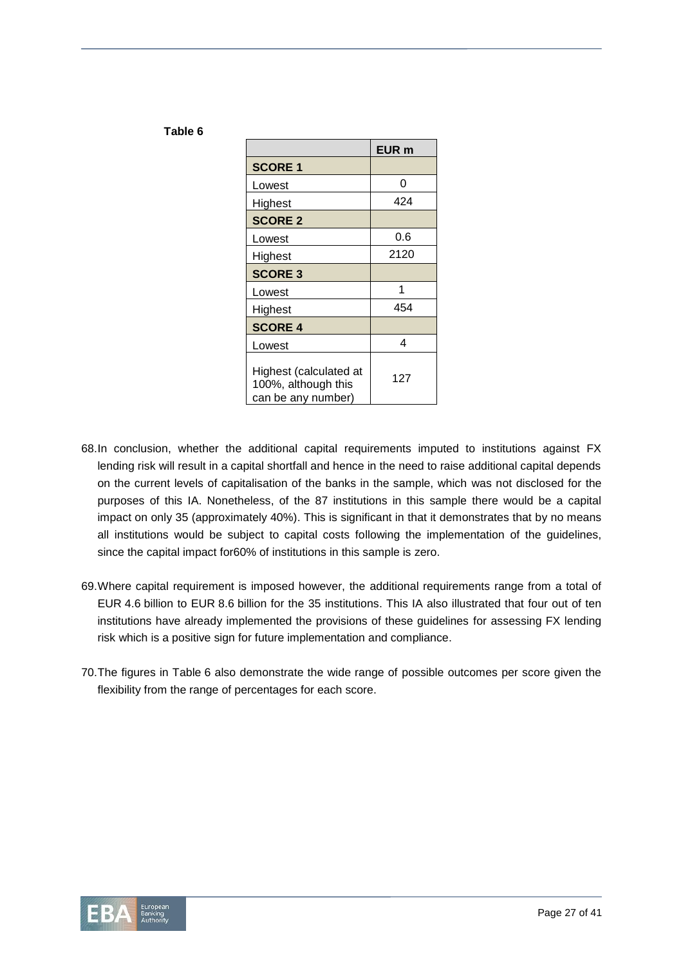|                                                                     | EUR <sub>m</sub> |
|---------------------------------------------------------------------|------------------|
| <b>SCORE 1</b>                                                      |                  |
| Lowest                                                              | 0                |
| Highest                                                             | 424              |
| <b>SCORE 2</b>                                                      |                  |
| Lowest                                                              | 0.6              |
| Highest                                                             | 2120             |
| <b>SCORE 3</b>                                                      |                  |
| Lowest                                                              | 1                |
| Highest                                                             | 454              |
| <b>SCORE 4</b>                                                      |                  |
| Lowest                                                              | 4                |
| Highest (calculated at<br>100%, although this<br>can be any number) | 127              |

**Table 6**

- 68.In conclusion, whether the additional capital requirements imputed to institutions against FX lending risk will result in a capital shortfall and hence in the need to raise additional capital depends on the current levels of capitalisation of the banks in the sample, which was not disclosed for the purposes of this IA. Nonetheless, of the 87 institutions in this sample there would be a capital impact on only 35 (approximately 40%). This is significant in that it demonstrates that by no means all institutions would be subject to capital costs following the implementation of the guidelines, since the capital impact for60% of institutions in this sample is zero.
- 69.Where capital requirement is imposed however, the additional requirements range from a total of EUR 4.6 billion to EUR 8.6 billion for the 35 institutions. This IA also illustrated that four out of ten institutions have already implemented the provisions of these guidelines for assessing FX lending risk which is a positive sign for future implementation and compliance.
- 70.The figures in Table 6 also demonstrate the wide range of possible outcomes per score given the flexibility from the range of percentages for each score.

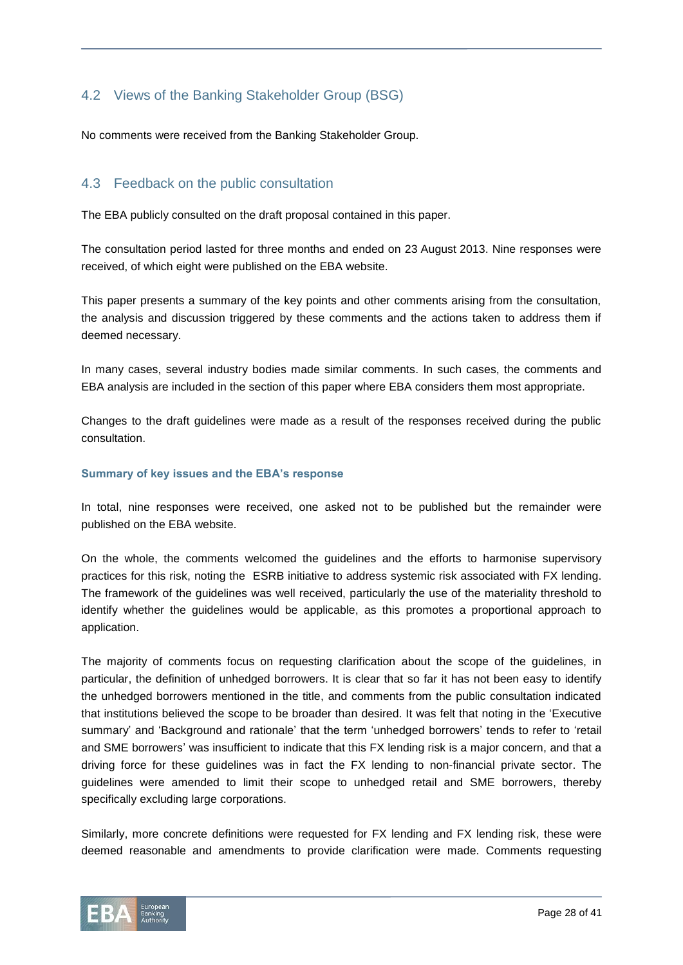# <span id="page-27-0"></span>4.2 Views of the Banking Stakeholder Group (BSG)

No comments were received from the Banking Stakeholder Group.

## <span id="page-27-1"></span>4.3 Feedback on the public consultation

The EBA publicly consulted on the draft proposal contained in this paper.

The consultation period lasted for three months and ended on 23 August 2013. Nine responses were received, of which eight were published on the EBA website.

This paper presents a summary of the key points and other comments arising from the consultation, the analysis and discussion triggered by these comments and the actions taken to address them if deemed necessary.

In many cases, several industry bodies made similar comments. In such cases, the comments and EBA analysis are included in the section of this paper where EBA considers them most appropriate.

Changes to the draft guidelines were made as a result of the responses received during the public consultation.

#### **Summary of key issues and the EBA's response**

In total, nine responses were received, one asked not to be published but the remainder were published on the EBA website.

On the whole, the comments welcomed the guidelines and the efforts to harmonise supervisory practices for this risk, noting the ESRB initiative to address systemic risk associated with FX lending. The framework of the guidelines was well received, particularly the use of the materiality threshold to identify whether the guidelines would be applicable, as this promotes a proportional approach to application.

The majority of comments focus on requesting clarification about the scope of the guidelines, in particular, the definition of unhedged borrowers. It is clear that so far it has not been easy to identify the unhedged borrowers mentioned in the title, and comments from the public consultation indicated that institutions believed the scope to be broader than desired. It was felt that noting in the 'Executive summary' and 'Background and rationale' that the term 'unhedged borrowers' tends to refer to 'retail and SME borrowers' was insufficient to indicate that this FX lending risk is a major concern, and that a driving force for these guidelines was in fact the FX lending to non-financial private sector. The guidelines were amended to limit their scope to unhedged retail and SME borrowers, thereby specifically excluding large corporations.

Similarly, more concrete definitions were requested for FX lending and FX lending risk, these were deemed reasonable and amendments to provide clarification were made. Comments requesting

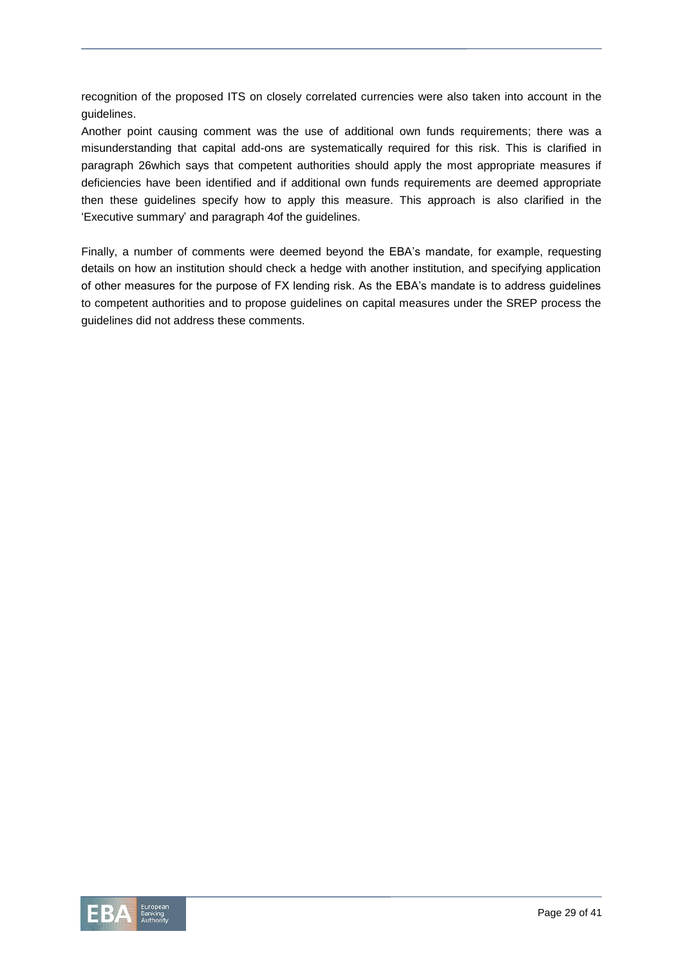recognition of the proposed ITS on closely correlated currencies were also taken into account in the guidelines.

Another point causing comment was the use of additional own funds requirements; there was a misunderstanding that capital add-ons are systematically required for this risk. This is clarified in paragraph 26which says that competent authorities should apply the most appropriate measures if deficiencies have been identified and if additional own funds requirements are deemed appropriate then these guidelines specify how to apply this measure. This approach is also clarified in the 'Executive summary' and paragraph 4of the guidelines.

Finally, a number of comments were deemed beyond the EBA's mandate, for example, requesting details on how an institution should check a hedge with another institution, and specifying application of other measures for the purpose of FX lending risk. As the EBA's mandate is to address guidelines to competent authorities and to propose guidelines on capital measures under the SREP process the guidelines did not address these comments.

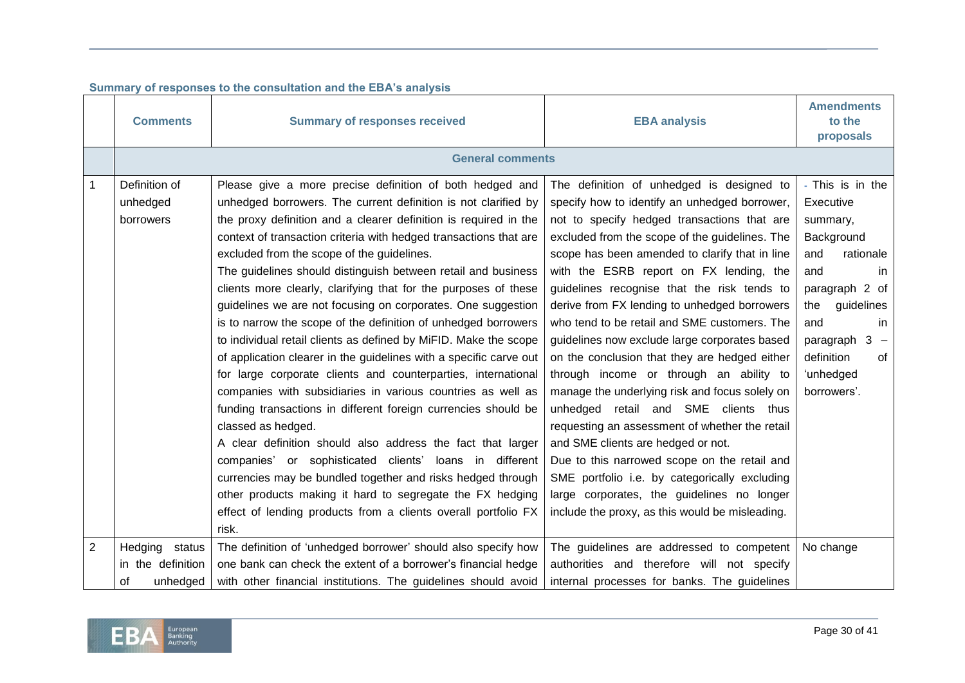|                | <b>Comments</b>                                       | <b>Summary of responses received</b>                                                                                                                                                                                                                                                                                                                                                                                                                                                                                                                                                                                                                                                                                                                                                                                                                                                                                                                                                                                                                                                                                                                                                                                                                                                          | <b>EBA analysis</b>                                                                                                                                                                                                                                                                                                                                                                                                                                                                                                                                                                                                                                                                                                                                                                                                                                                                                                                                                      | <b>Amendments</b><br>to the<br>proposals                                                                                                                                                                            |  |  |  |  |  |
|----------------|-------------------------------------------------------|-----------------------------------------------------------------------------------------------------------------------------------------------------------------------------------------------------------------------------------------------------------------------------------------------------------------------------------------------------------------------------------------------------------------------------------------------------------------------------------------------------------------------------------------------------------------------------------------------------------------------------------------------------------------------------------------------------------------------------------------------------------------------------------------------------------------------------------------------------------------------------------------------------------------------------------------------------------------------------------------------------------------------------------------------------------------------------------------------------------------------------------------------------------------------------------------------------------------------------------------------------------------------------------------------|--------------------------------------------------------------------------------------------------------------------------------------------------------------------------------------------------------------------------------------------------------------------------------------------------------------------------------------------------------------------------------------------------------------------------------------------------------------------------------------------------------------------------------------------------------------------------------------------------------------------------------------------------------------------------------------------------------------------------------------------------------------------------------------------------------------------------------------------------------------------------------------------------------------------------------------------------------------------------|---------------------------------------------------------------------------------------------------------------------------------------------------------------------------------------------------------------------|--|--|--|--|--|
|                | <b>General comments</b>                               |                                                                                                                                                                                                                                                                                                                                                                                                                                                                                                                                                                                                                                                                                                                                                                                                                                                                                                                                                                                                                                                                                                                                                                                                                                                                                               |                                                                                                                                                                                                                                                                                                                                                                                                                                                                                                                                                                                                                                                                                                                                                                                                                                                                                                                                                                          |                                                                                                                                                                                                                     |  |  |  |  |  |
| $\mathbf{1}$   | Definition of<br>unhedged<br>borrowers                | Please give a more precise definition of both hedged and<br>unhedged borrowers. The current definition is not clarified by<br>the proxy definition and a clearer definition is required in the<br>context of transaction criteria with hedged transactions that are<br>excluded from the scope of the guidelines.<br>The guidelines should distinguish between retail and business<br>clients more clearly, clarifying that for the purposes of these<br>guidelines we are not focusing on corporates. One suggestion<br>is to narrow the scope of the definition of unhedged borrowers<br>to individual retail clients as defined by MiFID. Make the scope<br>of application clearer in the guidelines with a specific carve out<br>for large corporate clients and counterparties, international<br>companies with subsidiaries in various countries as well as<br>funding transactions in different foreign currencies should be<br>classed as hedged.<br>A clear definition should also address the fact that larger<br>companies' or sophisticated clients'<br>loans in different<br>currencies may be bundled together and risks hedged through<br>other products making it hard to segregate the FX hedging<br>effect of lending products from a clients overall portfolio FX<br>risk. | The definition of unhedged is designed to<br>specify how to identify an unhedged borrower,<br>not to specify hedged transactions that are<br>excluded from the scope of the guidelines. The<br>scope has been amended to clarify that in line<br>with the ESRB report on FX lending, the<br>guidelines recognise that the risk tends to<br>derive from FX lending to unhedged borrowers<br>who tend to be retail and SME customers. The<br>guidelines now exclude large corporates based<br>on the conclusion that they are hedged either<br>through income or through an ability to<br>manage the underlying risk and focus solely on<br>unhedged retail and SME clients thus<br>requesting an assessment of whether the retail<br>and SME clients are hedged or not.<br>Due to this narrowed scope on the retail and<br>SME portfolio i.e. by categorically excluding<br>large corporates, the guidelines no longer<br>include the proxy, as this would be misleading. | - This is in the<br>Executive<br>summary,<br>Background<br>rationale<br>and<br>and<br>in.<br>paragraph 2 of<br>guidelines<br>the<br>and<br>in<br>$3 -$<br>paragraph<br>definition<br>of<br>'unhedged<br>borrowers'. |  |  |  |  |  |
| $\overline{2}$ | Hedging status<br>in the definition<br>0f<br>unhedged | The definition of 'unhedged borrower' should also specify how<br>one bank can check the extent of a borrower's financial hedge<br>with other financial institutions. The guidelines should avoid                                                                                                                                                                                                                                                                                                                                                                                                                                                                                                                                                                                                                                                                                                                                                                                                                                                                                                                                                                                                                                                                                              | The guidelines are addressed to competent<br>authorities and therefore will not specify<br>internal processes for banks. The guidelines                                                                                                                                                                                                                                                                                                                                                                                                                                                                                                                                                                                                                                                                                                                                                                                                                                  | No change                                                                                                                                                                                                           |  |  |  |  |  |

## **Summary of responses to the consultation and the EBA's analysis**

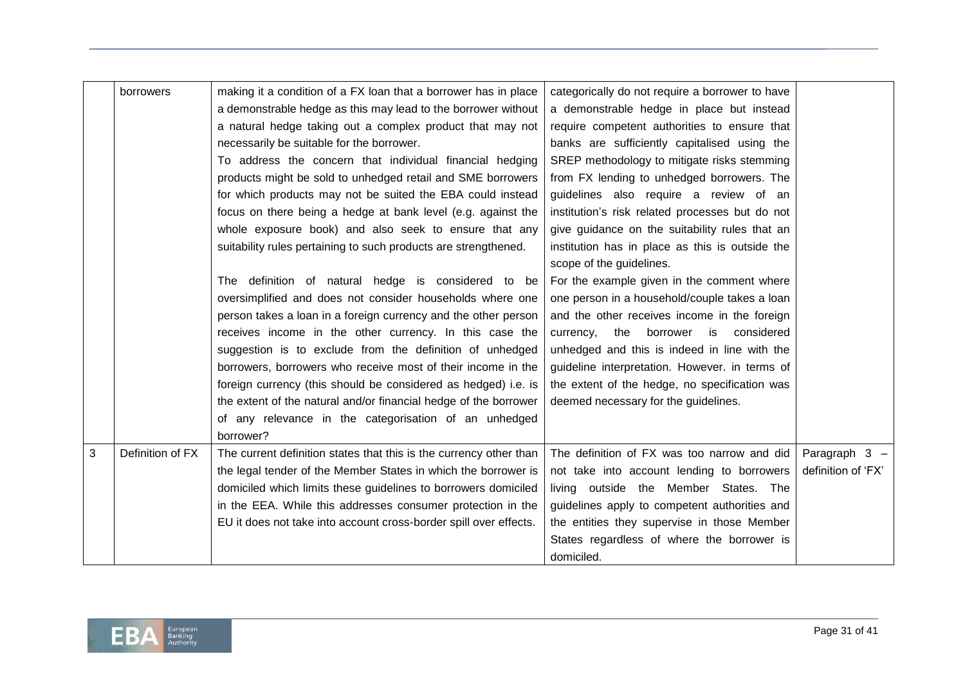|   | borrowers        | making it a condition of a FX loan that a borrower has in place<br>a demonstrable hedge as this may lead to the borrower without<br>a natural hedge taking out a complex product that may not<br>necessarily be suitable for the borrower.<br>To address the concern that individual financial hedging<br>products might be sold to unhedged retail and SME borrowers<br>for which products may not be suited the EBA could instead<br>focus on there being a hedge at bank level (e.g. against the<br>whole exposure book) and also seek to ensure that any<br>suitability rules pertaining to such products are strengthened.<br>definition of natural hedge is considered to be<br>The<br>oversimplified and does not consider households where one<br>person takes a loan in a foreign currency and the other person<br>receives income in the other currency. In this case the<br>suggestion is to exclude from the definition of unhedged<br>borrowers, borrowers who receive most of their income in the<br>foreign currency (this should be considered as hedged) i.e. is | categorically do not require a borrower to have<br>a demonstrable hedge in place but instead<br>require competent authorities to ensure that<br>banks are sufficiently capitalised using the<br>SREP methodology to mitigate risks stemming<br>from FX lending to unhedged borrowers. The<br>guidelines also require a review of an<br>institution's risk related processes but do not<br>give guidance on the suitability rules that an<br>institution has in place as this is outside the<br>scope of the guidelines.<br>For the example given in the comment where<br>one person in a household/couple takes a loan<br>and the other receives income in the foreign<br>borrower is considered<br>currency, the<br>unhedged and this is indeed in line with the<br>guideline interpretation. However. in terms of<br>the extent of the hedge, no specification was |                    |
|---|------------------|-----------------------------------------------------------------------------------------------------------------------------------------------------------------------------------------------------------------------------------------------------------------------------------------------------------------------------------------------------------------------------------------------------------------------------------------------------------------------------------------------------------------------------------------------------------------------------------------------------------------------------------------------------------------------------------------------------------------------------------------------------------------------------------------------------------------------------------------------------------------------------------------------------------------------------------------------------------------------------------------------------------------------------------------------------------------------------------|----------------------------------------------------------------------------------------------------------------------------------------------------------------------------------------------------------------------------------------------------------------------------------------------------------------------------------------------------------------------------------------------------------------------------------------------------------------------------------------------------------------------------------------------------------------------------------------------------------------------------------------------------------------------------------------------------------------------------------------------------------------------------------------------------------------------------------------------------------------------|--------------------|
|   |                  | the extent of the natural and/or financial hedge of the borrower<br>of any relevance in the categorisation of an unhedged                                                                                                                                                                                                                                                                                                                                                                                                                                                                                                                                                                                                                                                                                                                                                                                                                                                                                                                                                         | deemed necessary for the guidelines.                                                                                                                                                                                                                                                                                                                                                                                                                                                                                                                                                                                                                                                                                                                                                                                                                                 |                    |
|   |                  | borrower?                                                                                                                                                                                                                                                                                                                                                                                                                                                                                                                                                                                                                                                                                                                                                                                                                                                                                                                                                                                                                                                                         |                                                                                                                                                                                                                                                                                                                                                                                                                                                                                                                                                                                                                                                                                                                                                                                                                                                                      |                    |
| 3 | Definition of FX | The current definition states that this is the currency other than                                                                                                                                                                                                                                                                                                                                                                                                                                                                                                                                                                                                                                                                                                                                                                                                                                                                                                                                                                                                                | The definition of FX was too narrow and did                                                                                                                                                                                                                                                                                                                                                                                                                                                                                                                                                                                                                                                                                                                                                                                                                          | Paragraph $3 -$    |
|   |                  | the legal tender of the Member States in which the borrower is                                                                                                                                                                                                                                                                                                                                                                                                                                                                                                                                                                                                                                                                                                                                                                                                                                                                                                                                                                                                                    | not take into account lending to borrowers                                                                                                                                                                                                                                                                                                                                                                                                                                                                                                                                                                                                                                                                                                                                                                                                                           | definition of 'FX' |
|   |                  | domiciled which limits these guidelines to borrowers domiciled                                                                                                                                                                                                                                                                                                                                                                                                                                                                                                                                                                                                                                                                                                                                                                                                                                                                                                                                                                                                                    | living outside the Member States. The                                                                                                                                                                                                                                                                                                                                                                                                                                                                                                                                                                                                                                                                                                                                                                                                                                |                    |
|   |                  | in the EEA. While this addresses consumer protection in the                                                                                                                                                                                                                                                                                                                                                                                                                                                                                                                                                                                                                                                                                                                                                                                                                                                                                                                                                                                                                       | guidelines apply to competent authorities and                                                                                                                                                                                                                                                                                                                                                                                                                                                                                                                                                                                                                                                                                                                                                                                                                        |                    |
|   |                  | EU it does not take into account cross-border spill over effects.                                                                                                                                                                                                                                                                                                                                                                                                                                                                                                                                                                                                                                                                                                                                                                                                                                                                                                                                                                                                                 | the entities they supervise in those Member                                                                                                                                                                                                                                                                                                                                                                                                                                                                                                                                                                                                                                                                                                                                                                                                                          |                    |
|   |                  |                                                                                                                                                                                                                                                                                                                                                                                                                                                                                                                                                                                                                                                                                                                                                                                                                                                                                                                                                                                                                                                                                   | States regardless of where the borrower is<br>domiciled.                                                                                                                                                                                                                                                                                                                                                                                                                                                                                                                                                                                                                                                                                                                                                                                                             |                    |

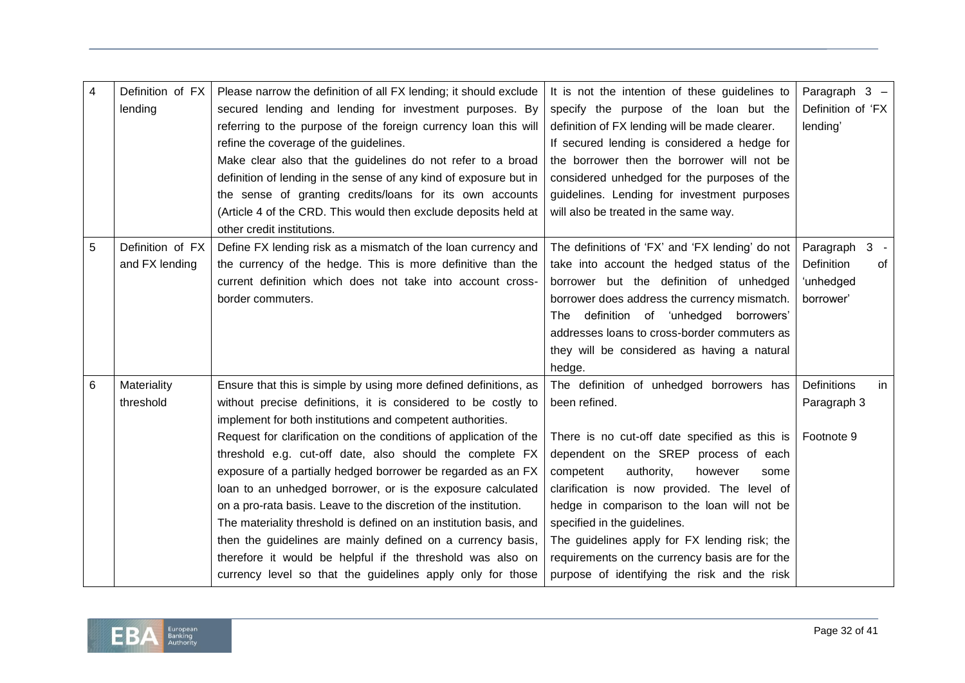| 4 | Definition of FX<br>lending | Please narrow the definition of all FX lending; it should exclude<br>secured lending and lending for investment purposes. By | It is not the intention of these guidelines to<br>specify the purpose of the loan but the | Paragraph 3 -<br>Definition of 'FX |
|---|-----------------------------|------------------------------------------------------------------------------------------------------------------------------|-------------------------------------------------------------------------------------------|------------------------------------|
|   |                             |                                                                                                                              |                                                                                           |                                    |
|   |                             | referring to the purpose of the foreign currency loan this will                                                              | definition of FX lending will be made clearer.                                            | lending'                           |
|   |                             | refine the coverage of the guidelines.                                                                                       | If secured lending is considered a hedge for                                              |                                    |
|   |                             | Make clear also that the guidelines do not refer to a broad                                                                  | the borrower then the borrower will not be                                                |                                    |
|   |                             | definition of lending in the sense of any kind of exposure but in                                                            | considered unhedged for the purposes of the                                               |                                    |
|   |                             | the sense of granting credits/loans for its own accounts                                                                     | guidelines. Lending for investment purposes                                               |                                    |
|   |                             | (Article 4 of the CRD. This would then exclude deposits held at                                                              | will also be treated in the same way.                                                     |                                    |
|   |                             | other credit institutions.                                                                                                   |                                                                                           |                                    |
| 5 | Definition of FX            | Define FX lending risk as a mismatch of the loan currency and                                                                | The definitions of 'FX' and 'FX lending' do not                                           | $3 -$<br>Paragraph                 |
|   | and FX lending              | the currency of the hedge. This is more definitive than the                                                                  | take into account the hedged status of the                                                | Definition<br>of                   |
|   |                             | current definition which does not take into account cross-                                                                   | borrower but the definition of unhedged                                                   | 'unhedged                          |
|   |                             | border commuters.                                                                                                            | borrower does address the currency mismatch.                                              | borrower'                          |
|   |                             |                                                                                                                              | definition of 'unhedged borrowers'<br>The                                                 |                                    |
|   |                             |                                                                                                                              | addresses loans to cross-border commuters as                                              |                                    |
|   |                             |                                                                                                                              | they will be considered as having a natural                                               |                                    |
|   |                             |                                                                                                                              | hedge.                                                                                    |                                    |
| 6 | Materiality                 | Ensure that this is simple by using more defined definitions, as                                                             | The definition of unhedged borrowers has                                                  | <b>Definitions</b><br>in           |
|   | threshold                   | without precise definitions, it is considered to be costly to                                                                | been refined.                                                                             | Paragraph 3                        |
|   |                             | implement for both institutions and competent authorities.                                                                   |                                                                                           |                                    |
|   |                             | Request for clarification on the conditions of application of the                                                            | There is no cut-off date specified as this is                                             | Footnote 9                         |
|   |                             | threshold e.g. cut-off date, also should the complete FX                                                                     | dependent on the SREP process of each                                                     |                                    |
|   |                             | exposure of a partially hedged borrower be regarded as an FX                                                                 | competent<br>authority,<br>however<br>some                                                |                                    |
|   |                             | loan to an unhedged borrower, or is the exposure calculated                                                                  | clarification is now provided. The level of                                               |                                    |
|   |                             | on a pro-rata basis. Leave to the discretion of the institution.                                                             | hedge in comparison to the loan will not be                                               |                                    |
|   |                             | The materiality threshold is defined on an institution basis, and                                                            | specified in the guidelines.                                                              |                                    |
|   |                             | then the guidelines are mainly defined on a currency basis,                                                                  | The guidelines apply for FX lending risk; the                                             |                                    |
|   |                             | therefore it would be helpful if the threshold was also on                                                                   | requirements on the currency basis are for the                                            |                                    |
|   |                             | currency level so that the guidelines apply only for those                                                                   | purpose of identifying the risk and the risk                                              |                                    |

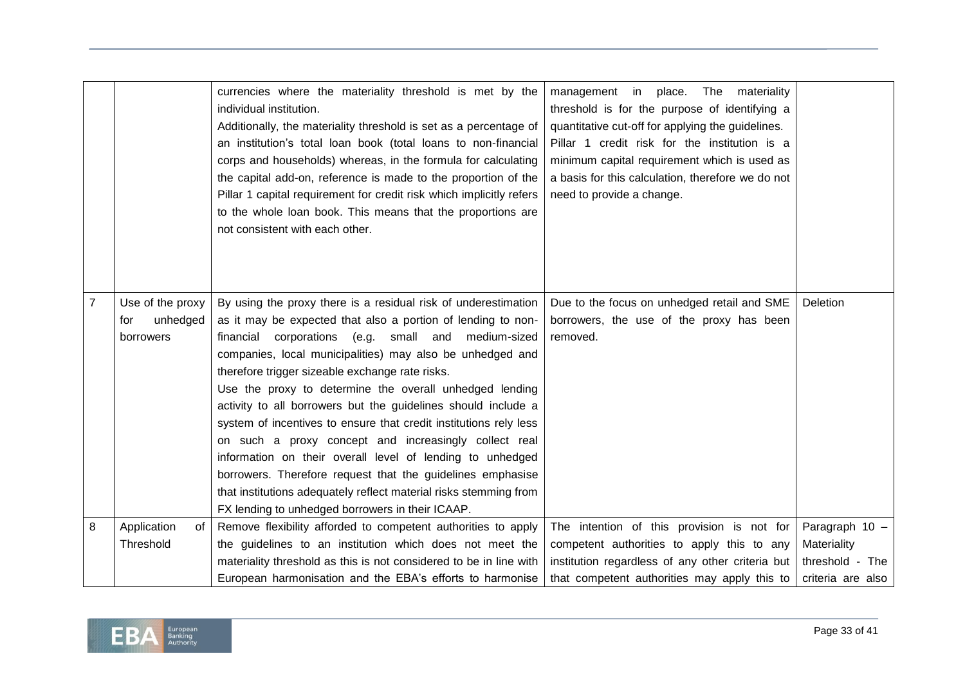|                |                   | currencies where the materiality threshold is met by the<br>individual institution.<br>Additionally, the materiality threshold is set as a percentage of<br>an institution's total loan book (total loans to non-financial<br>corps and households) whereas, in the formula for calculating<br>the capital add-on, reference is made to the proportion of the<br>Pillar 1 capital requirement for credit risk which implicitly refers<br>to the whole loan book. This means that the proportions are<br>not consistent with each other. | management in<br>place.<br>The<br>materiality<br>threshold is for the purpose of identifying a<br>quantitative cut-off for applying the guidelines.<br>Pillar 1 credit risk for the institution is a<br>minimum capital requirement which is used as<br>a basis for this calculation, therefore we do not<br>need to provide a change. |                   |
|----------------|-------------------|-----------------------------------------------------------------------------------------------------------------------------------------------------------------------------------------------------------------------------------------------------------------------------------------------------------------------------------------------------------------------------------------------------------------------------------------------------------------------------------------------------------------------------------------|----------------------------------------------------------------------------------------------------------------------------------------------------------------------------------------------------------------------------------------------------------------------------------------------------------------------------------------|-------------------|
| $\overline{7}$ | Use of the proxy  | By using the proxy there is a residual risk of underestimation                                                                                                                                                                                                                                                                                                                                                                                                                                                                          | Due to the focus on unhedged retail and SME                                                                                                                                                                                                                                                                                            | Deletion          |
|                | unhedged<br>for   | as it may be expected that also a portion of lending to non-                                                                                                                                                                                                                                                                                                                                                                                                                                                                            | borrowers, the use of the proxy has been                                                                                                                                                                                                                                                                                               |                   |
|                | borrowers         | financial corporations (e.g.<br>small and medium-sized                                                                                                                                                                                                                                                                                                                                                                                                                                                                                  | removed.                                                                                                                                                                                                                                                                                                                               |                   |
|                |                   | companies, local municipalities) may also be unhedged and                                                                                                                                                                                                                                                                                                                                                                                                                                                                               |                                                                                                                                                                                                                                                                                                                                        |                   |
|                |                   | therefore trigger sizeable exchange rate risks.                                                                                                                                                                                                                                                                                                                                                                                                                                                                                         |                                                                                                                                                                                                                                                                                                                                        |                   |
|                |                   | Use the proxy to determine the overall unhedged lending                                                                                                                                                                                                                                                                                                                                                                                                                                                                                 |                                                                                                                                                                                                                                                                                                                                        |                   |
|                |                   | activity to all borrowers but the guidelines should include a                                                                                                                                                                                                                                                                                                                                                                                                                                                                           |                                                                                                                                                                                                                                                                                                                                        |                   |
|                |                   | system of incentives to ensure that credit institutions rely less                                                                                                                                                                                                                                                                                                                                                                                                                                                                       |                                                                                                                                                                                                                                                                                                                                        |                   |
|                |                   | on such a proxy concept and increasingly collect real                                                                                                                                                                                                                                                                                                                                                                                                                                                                                   |                                                                                                                                                                                                                                                                                                                                        |                   |
|                |                   | information on their overall level of lending to unhedged                                                                                                                                                                                                                                                                                                                                                                                                                                                                               |                                                                                                                                                                                                                                                                                                                                        |                   |
|                |                   | borrowers. Therefore request that the guidelines emphasise                                                                                                                                                                                                                                                                                                                                                                                                                                                                              |                                                                                                                                                                                                                                                                                                                                        |                   |
|                |                   | that institutions adequately reflect material risks stemming from                                                                                                                                                                                                                                                                                                                                                                                                                                                                       |                                                                                                                                                                                                                                                                                                                                        |                   |
|                |                   | FX lending to unhedged borrowers in their ICAAP.                                                                                                                                                                                                                                                                                                                                                                                                                                                                                        |                                                                                                                                                                                                                                                                                                                                        |                   |
| 8              | Application<br>οf | Remove flexibility afforded to competent authorities to apply                                                                                                                                                                                                                                                                                                                                                                                                                                                                           | The intention of this provision is not for                                                                                                                                                                                                                                                                                             | Paragraph 10 -    |
|                | Threshold         | the guidelines to an institution which does not meet the                                                                                                                                                                                                                                                                                                                                                                                                                                                                                | competent authorities to apply this to any                                                                                                                                                                                                                                                                                             | Materiality       |
|                |                   | materiality threshold as this is not considered to be in line with                                                                                                                                                                                                                                                                                                                                                                                                                                                                      | institution regardless of any other criteria but                                                                                                                                                                                                                                                                                       | threshold - The   |
|                |                   | European harmonisation and the EBA's efforts to harmonise                                                                                                                                                                                                                                                                                                                                                                                                                                                                               | that competent authorities may apply this to                                                                                                                                                                                                                                                                                           | criteria are also |

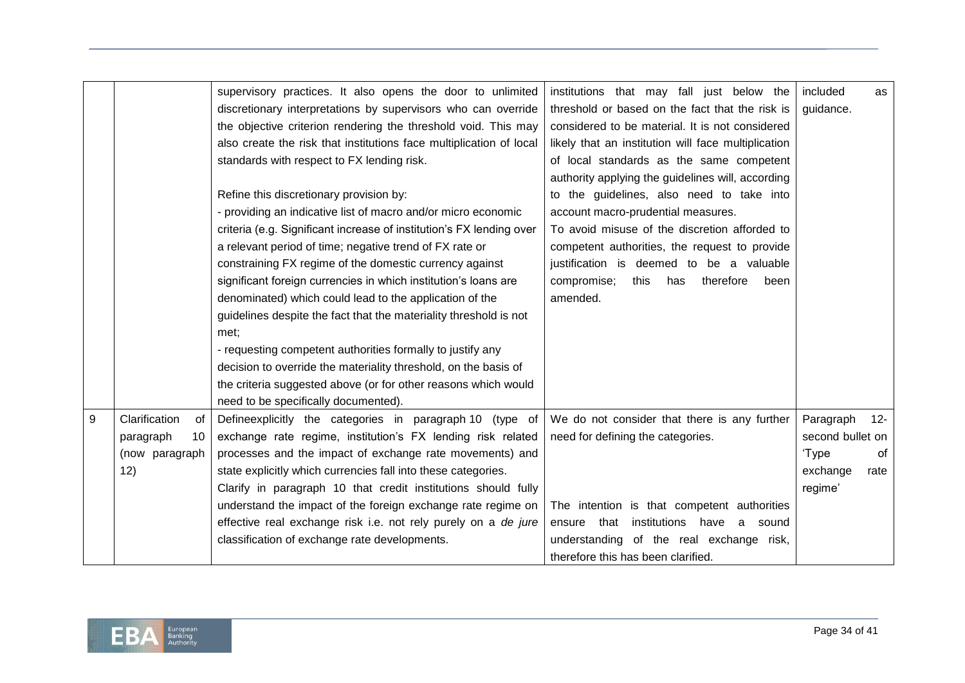|   |                     | supervisory practices. It also opens the door to unlimited           | institutions that may fall just below the           | included         | as     |
|---|---------------------|----------------------------------------------------------------------|-----------------------------------------------------|------------------|--------|
|   |                     | discretionary interpretations by supervisors who can override        | threshold or based on the fact that the risk is     | guidance.        |        |
|   |                     | the objective criterion rendering the threshold void. This may       | considered to be material. It is not considered     |                  |        |
|   |                     | also create the risk that institutions face multiplication of local  | likely that an institution will face multiplication |                  |        |
|   |                     | standards with respect to FX lending risk.                           | of local standards as the same competent            |                  |        |
|   |                     |                                                                      | authority applying the guidelines will, according   |                  |        |
|   |                     | Refine this discretionary provision by:                              | to the guidelines, also need to take into           |                  |        |
|   |                     | - providing an indicative list of macro and/or micro economic        | account macro-prudential measures.                  |                  |        |
|   |                     | criteria (e.g. Significant increase of institution's FX lending over | To avoid misuse of the discretion afforded to       |                  |        |
|   |                     | a relevant period of time; negative trend of FX rate or              | competent authorities, the request to provide       |                  |        |
|   |                     | constraining FX regime of the domestic currency against              | justification is deemed to be a valuable            |                  |        |
|   |                     | significant foreign currencies in which institution's loans are      | compromise;<br>this<br>therefore<br>has<br>been     |                  |        |
|   |                     | denominated) which could lead to the application of the              | amended.                                            |                  |        |
|   |                     | guidelines despite the fact that the materiality threshold is not    |                                                     |                  |        |
|   |                     | met:                                                                 |                                                     |                  |        |
|   |                     | - requesting competent authorities formally to justify any           |                                                     |                  |        |
|   |                     | decision to override the materiality threshold, on the basis of      |                                                     |                  |        |
|   |                     | the criteria suggested above (or for other reasons which would       |                                                     |                  |        |
|   |                     | need to be specifically documented).                                 |                                                     |                  |        |
| 9 | Clarification<br>0f | Defineexplicitly the categories in paragraph 10 (type of             | We do not consider that there is any further        | Paragraph        | $12 -$ |
|   | paragraph<br>10     | exchange rate regime, institution's FX lending risk related          | need for defining the categories.                   | second bullet on |        |
|   | (now paragraph      | processes and the impact of exchange rate movements) and             |                                                     | 'Type            | of     |
|   | 12)                 | state explicitly which currencies fall into these categories.        |                                                     | exchange         | rate   |
|   |                     | Clarify in paragraph 10 that credit institutions should fully        |                                                     | regime'          |        |
|   |                     | understand the impact of the foreign exchange rate regime on         | The intention is that competent authorities         |                  |        |
|   |                     | effective real exchange risk i.e. not rely purely on a de jure       | that<br>institutions<br>have a<br>ensure<br>sound   |                  |        |
|   |                     | classification of exchange rate developments.                        | understanding of the real exchange risk,            |                  |        |
|   |                     |                                                                      | therefore this has been clarified.                  |                  |        |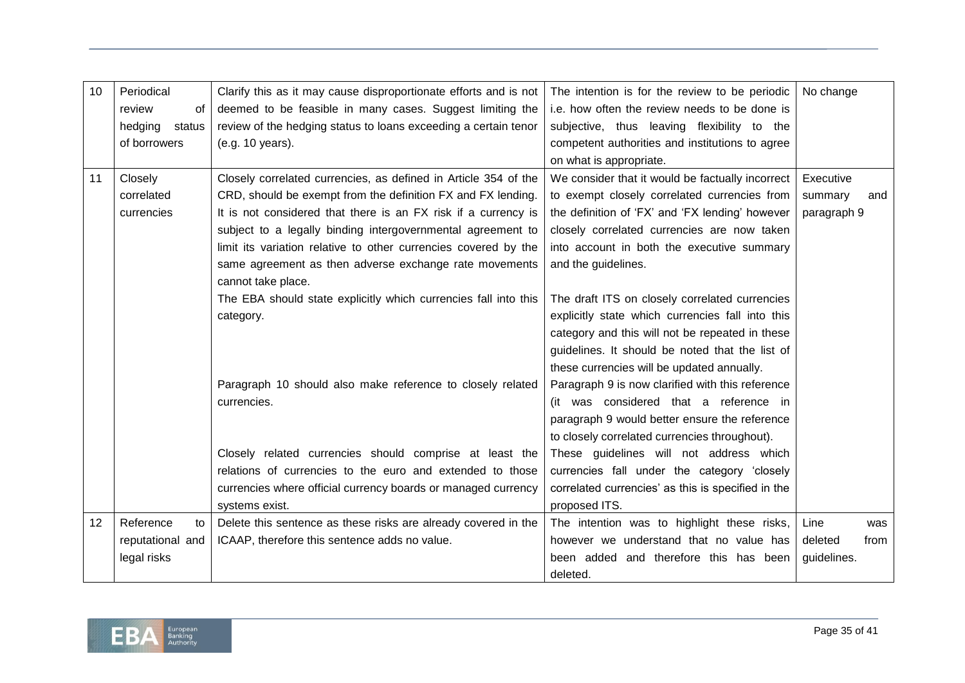| Periodical<br>Clarify this as it may cause disproportionate efforts and is not<br>The intention is for the review to be periodic<br>No change<br>10<br>deemed to be feasible in many cases. Suggest limiting the<br>i.e. how often the review needs to be done is<br>review<br>0f<br>review of the hedging status to loans exceeding a certain tenor<br>subjective, thus leaving flexibility to the<br>hedging<br>status<br>of borrowers<br>(e.g. 10 years).<br>competent authorities and institutions to agree<br>on what is appropriate.<br>We consider that it would be factually incorrect<br>11<br>Closely<br>Closely correlated currencies, as defined in Article 354 of the<br>Executive<br>CRD, should be exempt from the definition FX and FX lending.<br>correlated<br>to exempt closely correlated currencies from<br>summary<br>and<br>It is not considered that there is an FX risk if a currency is<br>the definition of 'FX' and 'FX lending' however<br>currencies<br>paragraph 9<br>subject to a legally binding intergovernmental agreement to<br>closely correlated currencies are now taken<br>limit its variation relative to other currencies covered by the<br>into account in both the executive summary<br>same agreement as then adverse exchange rate movements<br>and the guidelines.<br>cannot take place.<br>The EBA should state explicitly which currencies fall into this<br>The draft ITS on closely correlated currencies<br>explicitly state which currencies fall into this<br>category.<br>category and this will not be repeated in these<br>guidelines. It should be noted that the list of |
|-------------------------------------------------------------------------------------------------------------------------------------------------------------------------------------------------------------------------------------------------------------------------------------------------------------------------------------------------------------------------------------------------------------------------------------------------------------------------------------------------------------------------------------------------------------------------------------------------------------------------------------------------------------------------------------------------------------------------------------------------------------------------------------------------------------------------------------------------------------------------------------------------------------------------------------------------------------------------------------------------------------------------------------------------------------------------------------------------------------------------------------------------------------------------------------------------------------------------------------------------------------------------------------------------------------------------------------------------------------------------------------------------------------------------------------------------------------------------------------------------------------------------------------------------------------------------------------------------------------------------------------|
|                                                                                                                                                                                                                                                                                                                                                                                                                                                                                                                                                                                                                                                                                                                                                                                                                                                                                                                                                                                                                                                                                                                                                                                                                                                                                                                                                                                                                                                                                                                                                                                                                                     |
|                                                                                                                                                                                                                                                                                                                                                                                                                                                                                                                                                                                                                                                                                                                                                                                                                                                                                                                                                                                                                                                                                                                                                                                                                                                                                                                                                                                                                                                                                                                                                                                                                                     |
|                                                                                                                                                                                                                                                                                                                                                                                                                                                                                                                                                                                                                                                                                                                                                                                                                                                                                                                                                                                                                                                                                                                                                                                                                                                                                                                                                                                                                                                                                                                                                                                                                                     |
|                                                                                                                                                                                                                                                                                                                                                                                                                                                                                                                                                                                                                                                                                                                                                                                                                                                                                                                                                                                                                                                                                                                                                                                                                                                                                                                                                                                                                                                                                                                                                                                                                                     |
|                                                                                                                                                                                                                                                                                                                                                                                                                                                                                                                                                                                                                                                                                                                                                                                                                                                                                                                                                                                                                                                                                                                                                                                                                                                                                                                                                                                                                                                                                                                                                                                                                                     |
|                                                                                                                                                                                                                                                                                                                                                                                                                                                                                                                                                                                                                                                                                                                                                                                                                                                                                                                                                                                                                                                                                                                                                                                                                                                                                                                                                                                                                                                                                                                                                                                                                                     |
|                                                                                                                                                                                                                                                                                                                                                                                                                                                                                                                                                                                                                                                                                                                                                                                                                                                                                                                                                                                                                                                                                                                                                                                                                                                                                                                                                                                                                                                                                                                                                                                                                                     |
|                                                                                                                                                                                                                                                                                                                                                                                                                                                                                                                                                                                                                                                                                                                                                                                                                                                                                                                                                                                                                                                                                                                                                                                                                                                                                                                                                                                                                                                                                                                                                                                                                                     |
|                                                                                                                                                                                                                                                                                                                                                                                                                                                                                                                                                                                                                                                                                                                                                                                                                                                                                                                                                                                                                                                                                                                                                                                                                                                                                                                                                                                                                                                                                                                                                                                                                                     |
|                                                                                                                                                                                                                                                                                                                                                                                                                                                                                                                                                                                                                                                                                                                                                                                                                                                                                                                                                                                                                                                                                                                                                                                                                                                                                                                                                                                                                                                                                                                                                                                                                                     |
|                                                                                                                                                                                                                                                                                                                                                                                                                                                                                                                                                                                                                                                                                                                                                                                                                                                                                                                                                                                                                                                                                                                                                                                                                                                                                                                                                                                                                                                                                                                                                                                                                                     |
|                                                                                                                                                                                                                                                                                                                                                                                                                                                                                                                                                                                                                                                                                                                                                                                                                                                                                                                                                                                                                                                                                                                                                                                                                                                                                                                                                                                                                                                                                                                                                                                                                                     |
|                                                                                                                                                                                                                                                                                                                                                                                                                                                                                                                                                                                                                                                                                                                                                                                                                                                                                                                                                                                                                                                                                                                                                                                                                                                                                                                                                                                                                                                                                                                                                                                                                                     |
|                                                                                                                                                                                                                                                                                                                                                                                                                                                                                                                                                                                                                                                                                                                                                                                                                                                                                                                                                                                                                                                                                                                                                                                                                                                                                                                                                                                                                                                                                                                                                                                                                                     |
|                                                                                                                                                                                                                                                                                                                                                                                                                                                                                                                                                                                                                                                                                                                                                                                                                                                                                                                                                                                                                                                                                                                                                                                                                                                                                                                                                                                                                                                                                                                                                                                                                                     |
|                                                                                                                                                                                                                                                                                                                                                                                                                                                                                                                                                                                                                                                                                                                                                                                                                                                                                                                                                                                                                                                                                                                                                                                                                                                                                                                                                                                                                                                                                                                                                                                                                                     |
| these currencies will be updated annually.                                                                                                                                                                                                                                                                                                                                                                                                                                                                                                                                                                                                                                                                                                                                                                                                                                                                                                                                                                                                                                                                                                                                                                                                                                                                                                                                                                                                                                                                                                                                                                                          |
| Paragraph 10 should also make reference to closely related<br>Paragraph 9 is now clarified with this reference                                                                                                                                                                                                                                                                                                                                                                                                                                                                                                                                                                                                                                                                                                                                                                                                                                                                                                                                                                                                                                                                                                                                                                                                                                                                                                                                                                                                                                                                                                                      |
| (it was considered that a reference in<br>currencies.                                                                                                                                                                                                                                                                                                                                                                                                                                                                                                                                                                                                                                                                                                                                                                                                                                                                                                                                                                                                                                                                                                                                                                                                                                                                                                                                                                                                                                                                                                                                                                               |
| paragraph 9 would better ensure the reference                                                                                                                                                                                                                                                                                                                                                                                                                                                                                                                                                                                                                                                                                                                                                                                                                                                                                                                                                                                                                                                                                                                                                                                                                                                                                                                                                                                                                                                                                                                                                                                       |
| to closely correlated currencies throughout).                                                                                                                                                                                                                                                                                                                                                                                                                                                                                                                                                                                                                                                                                                                                                                                                                                                                                                                                                                                                                                                                                                                                                                                                                                                                                                                                                                                                                                                                                                                                                                                       |
| Closely related currencies should comprise at least the<br>These guidelines will not address which                                                                                                                                                                                                                                                                                                                                                                                                                                                                                                                                                                                                                                                                                                                                                                                                                                                                                                                                                                                                                                                                                                                                                                                                                                                                                                                                                                                                                                                                                                                                  |
| relations of currencies to the euro and extended to those<br>currencies fall under the category 'closely                                                                                                                                                                                                                                                                                                                                                                                                                                                                                                                                                                                                                                                                                                                                                                                                                                                                                                                                                                                                                                                                                                                                                                                                                                                                                                                                                                                                                                                                                                                            |
| currencies where official currency boards or managed currency<br>correlated currencies' as this is specified in the                                                                                                                                                                                                                                                                                                                                                                                                                                                                                                                                                                                                                                                                                                                                                                                                                                                                                                                                                                                                                                                                                                                                                                                                                                                                                                                                                                                                                                                                                                                 |
| proposed ITS.<br>systems exist.                                                                                                                                                                                                                                                                                                                                                                                                                                                                                                                                                                                                                                                                                                                                                                                                                                                                                                                                                                                                                                                                                                                                                                                                                                                                                                                                                                                                                                                                                                                                                                                                     |
| Reference<br>Delete this sentence as these risks are already covered in the<br>12<br>The intention was to highlight these risks,<br>Line<br>to<br>was                                                                                                                                                                                                                                                                                                                                                                                                                                                                                                                                                                                                                                                                                                                                                                                                                                                                                                                                                                                                                                                                                                                                                                                                                                                                                                                                                                                                                                                                               |
| ICAAP, therefore this sentence adds no value.<br>however we understand that no value has<br>reputational and<br>deleted<br>from                                                                                                                                                                                                                                                                                                                                                                                                                                                                                                                                                                                                                                                                                                                                                                                                                                                                                                                                                                                                                                                                                                                                                                                                                                                                                                                                                                                                                                                                                                     |
| legal risks<br>been added and therefore this has been<br>guidelines.                                                                                                                                                                                                                                                                                                                                                                                                                                                                                                                                                                                                                                                                                                                                                                                                                                                                                                                                                                                                                                                                                                                                                                                                                                                                                                                                                                                                                                                                                                                                                                |
| deleted.                                                                                                                                                                                                                                                                                                                                                                                                                                                                                                                                                                                                                                                                                                                                                                                                                                                                                                                                                                                                                                                                                                                                                                                                                                                                                                                                                                                                                                                                                                                                                                                                                            |

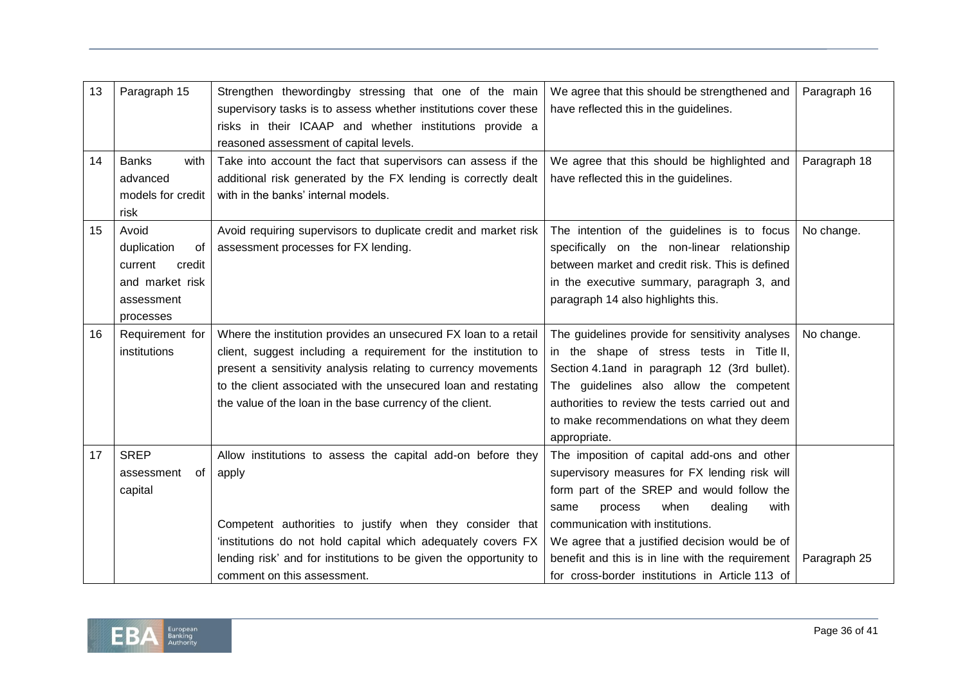| 13 | Paragraph 15                                                                                  | Strengthen thewordingby stressing that one of the main<br>supervisory tasks is to assess whether institutions cover these<br>risks in their ICAAP and whether institutions provide a<br>reasoned assessment of capital levels.                                                                                                    | We agree that this should be strengthened and<br>have reflected this in the guidelines.                                                                                                                                                                                                                                                                                               | Paragraph 16 |
|----|-----------------------------------------------------------------------------------------------|-----------------------------------------------------------------------------------------------------------------------------------------------------------------------------------------------------------------------------------------------------------------------------------------------------------------------------------|---------------------------------------------------------------------------------------------------------------------------------------------------------------------------------------------------------------------------------------------------------------------------------------------------------------------------------------------------------------------------------------|--------------|
| 14 | <b>Banks</b><br>with<br>advanced<br>models for credit<br>risk                                 | Take into account the fact that supervisors can assess if the<br>additional risk generated by the FX lending is correctly dealt<br>with in the banks' internal models.                                                                                                                                                            | We agree that this should be highlighted and<br>have reflected this in the guidelines.                                                                                                                                                                                                                                                                                                | Paragraph 18 |
| 15 | Avoid<br>duplication<br>of<br>credit<br>current<br>and market risk<br>assessment<br>processes | Avoid requiring supervisors to duplicate credit and market risk<br>assessment processes for FX lending.                                                                                                                                                                                                                           | The intention of the guidelines is to focus<br>specifically on the non-linear relationship<br>between market and credit risk. This is defined<br>in the executive summary, paragraph 3, and<br>paragraph 14 also highlights this.                                                                                                                                                     | No change.   |
| 16 | Requirement for<br>institutions                                                               | Where the institution provides an unsecured FX loan to a retail<br>client, suggest including a requirement for the institution to<br>present a sensitivity analysis relating to currency movements<br>to the client associated with the unsecured loan and restating<br>the value of the loan in the base currency of the client. | The guidelines provide for sensitivity analyses<br>in the shape of stress tests in Title II,<br>Section 4.1 and in paragraph 12 (3rd bullet).<br>The guidelines also allow the competent<br>authorities to review the tests carried out and<br>to make recommendations on what they deem<br>appropriate.                                                                              | No change.   |
| 17 | <b>SREP</b><br>assessment<br>of<br>capital                                                    | Allow institutions to assess the capital add-on before they<br>apply<br>Competent authorities to justify when they consider that<br>'institutions do not hold capital which adequately covers FX<br>lending risk' and for institutions to be given the opportunity to<br>comment on this assessment.                              | The imposition of capital add-ons and other<br>supervisory measures for FX lending risk will<br>form part of the SREP and would follow the<br>dealing<br>with<br>when<br>same<br>process<br>communication with institutions.<br>We agree that a justified decision would be of<br>benefit and this is in line with the requirement<br>for cross-border institutions in Article 113 of | Paragraph 25 |

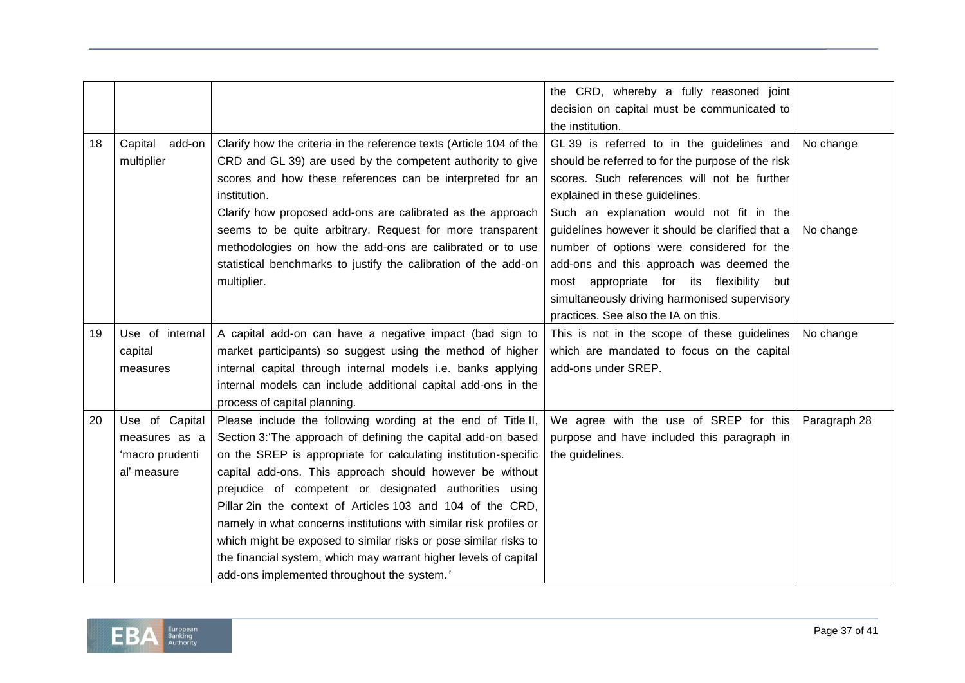|    |                 |                                                                     | the CRD, whereby a fully reasoned joint           |              |
|----|-----------------|---------------------------------------------------------------------|---------------------------------------------------|--------------|
|    |                 |                                                                     | decision on capital must be communicated to       |              |
|    |                 |                                                                     | the institution.                                  |              |
| 18 | Capital add-on  | Clarify how the criteria in the reference texts (Article 104 of the | GL 39 is referred to in the guidelines and        | No change    |
|    | multiplier      | CRD and GL 39) are used by the competent authority to give          | should be referred to for the purpose of the risk |              |
|    |                 | scores and how these references can be interpreted for an           | scores. Such references will not be further       |              |
|    |                 | institution.                                                        | explained in these guidelines.                    |              |
|    |                 | Clarify how proposed add-ons are calibrated as the approach         | Such an explanation would not fit in the          |              |
|    |                 | seems to be quite arbitrary. Request for more transparent           | guidelines however it should be clarified that a  | No change    |
|    |                 | methodologies on how the add-ons are calibrated or to use           | number of options were considered for the         |              |
|    |                 | statistical benchmarks to justify the calibration of the add-on     | add-ons and this approach was deemed the          |              |
|    |                 | multiplier.                                                         | appropriate for its flexibility<br>most<br>but    |              |
|    |                 |                                                                     | simultaneously driving harmonised supervisory     |              |
|    |                 |                                                                     | practices. See also the IA on this.               |              |
| 19 | Use of internal | A capital add-on can have a negative impact (bad sign to            | This is not in the scope of these guidelines      | No change    |
|    | capital         | market participants) so suggest using the method of higher          | which are mandated to focus on the capital        |              |
|    | measures        | internal capital through internal models i.e. banks applying        | add-ons under SREP.                               |              |
|    |                 | internal models can include additional capital add-ons in the       |                                                   |              |
|    |                 | process of capital planning.                                        |                                                   |              |
| 20 | Use of Capital  | Please include the following wording at the end of Title II,        | We agree with the use of SREP for this            | Paragraph 28 |
|    | measures as a   | Section 3: The approach of defining the capital add-on based        | purpose and have included this paragraph in       |              |
|    | 'macro prudenti | on the SREP is appropriate for calculating institution-specific     | the guidelines.                                   |              |
|    | al' measure     | capital add-ons. This approach should however be without            |                                                   |              |
|    |                 | prejudice of competent or designated authorities using              |                                                   |              |
|    |                 | Pillar 2in the context of Articles 103 and 104 of the CRD,          |                                                   |              |
|    |                 | namely in what concerns institutions with similar risk profiles or  |                                                   |              |
|    |                 | which might be exposed to similar risks or pose similar risks to    |                                                   |              |
|    |                 | the financial system, which may warrant higher levels of capital    |                                                   |              |
|    |                 | add-ons implemented throughout the system.'                         |                                                   |              |

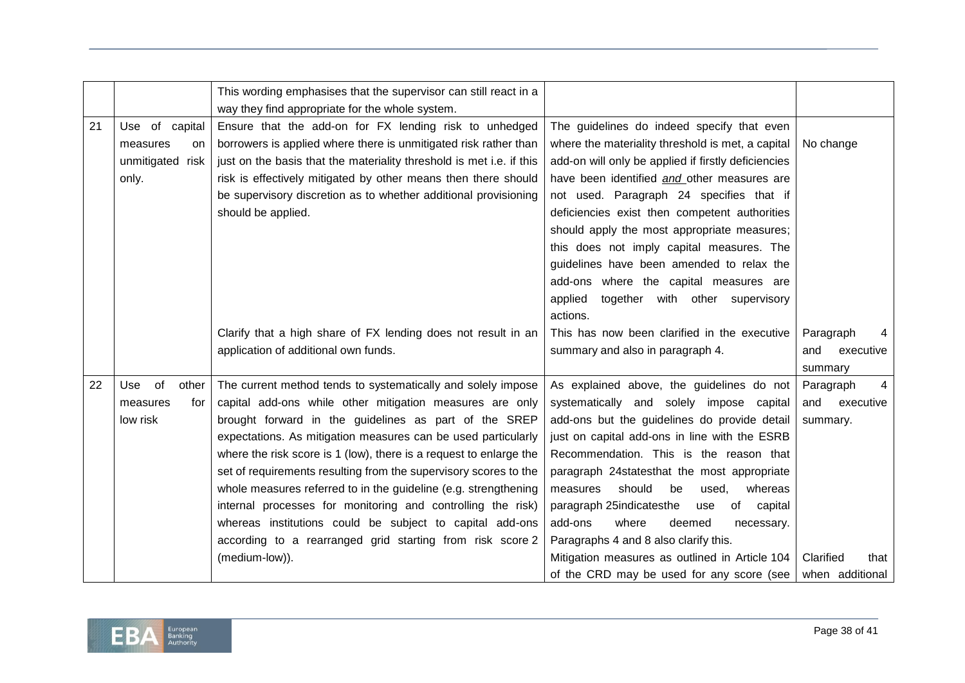|    |                    | This wording emphasises that the supervisor can still react in a     |                                                     |                   |
|----|--------------------|----------------------------------------------------------------------|-----------------------------------------------------|-------------------|
|    |                    | way they find appropriate for the whole system.                      |                                                     |                   |
| 21 | Use of capital     | Ensure that the add-on for FX lending risk to unhedged               | The guidelines do indeed specify that even          |                   |
|    | measures<br>on.    | borrowers is applied where there is unmitigated risk rather than     | where the materiality threshold is met, a capital   | No change         |
|    | unmitigated risk   | just on the basis that the materiality threshold is met i.e. if this | add-on will only be applied if firstly deficiencies |                   |
|    | only.              | risk is effectively mitigated by other means then there should       | have been identified and other measures are         |                   |
|    |                    | be supervisory discretion as to whether additional provisioning      | not used. Paragraph 24 specifies that if            |                   |
|    |                    | should be applied.                                                   | deficiencies exist then competent authorities       |                   |
|    |                    |                                                                      | should apply the most appropriate measures;         |                   |
|    |                    |                                                                      | this does not imply capital measures. The           |                   |
|    |                    |                                                                      | guidelines have been amended to relax the           |                   |
|    |                    |                                                                      | add-ons where the capital measures are              |                   |
|    |                    |                                                                      | applied<br>together with other supervisory          |                   |
|    |                    |                                                                      | actions.                                            |                   |
|    |                    | Clarify that a high share of FX lending does not result in an        | This has now been clarified in the executive        | Paragraph         |
|    |                    | application of additional own funds.                                 | summary and also in paragraph 4.                    | and<br>executive  |
|    |                    |                                                                      |                                                     | summary           |
| 22 | of<br>Use<br>other | The current method tends to systematically and solely impose         | As explained above, the guidelines do not           | Paragraph<br>4    |
|    | measures<br>for    | capital add-ons while other mitigation measures are only             | systematically and solely impose capital            | and<br>executive  |
|    | low risk           | brought forward in the guidelines as part of the SREP                | add-ons but the guidelines do provide detail        | summary.          |
|    |                    | expectations. As mitigation measures can be used particularly        | just on capital add-ons in line with the ESRB       |                   |
|    |                    | where the risk score is 1 (low), there is a request to enlarge the   | Recommendation. This is the reason that             |                   |
|    |                    | set of requirements resulting from the supervisory scores to the     | paragraph 24statesthat the most appropriate         |                   |
|    |                    | whole measures referred to in the guideline (e.g. strengthening      | should<br>be<br>used,<br>whereas<br>measures        |                   |
|    |                    | internal processes for monitoring and controlling the risk)          | paragraph 25indicatesthe<br>of capital<br>use       |                   |
|    |                    | whereas institutions could be subject to capital add-ons             | add-ons<br>where<br>deemed<br>necessary.            |                   |
|    |                    | according to a rearranged grid starting from risk score 2            | Paragraphs 4 and 8 also clarify this.               |                   |
|    |                    | (medium-low)).                                                       | Mitigation measures as outlined in Article 104      | Clarified<br>that |
|    |                    |                                                                      | of the CRD may be used for any score (see           | when additional   |

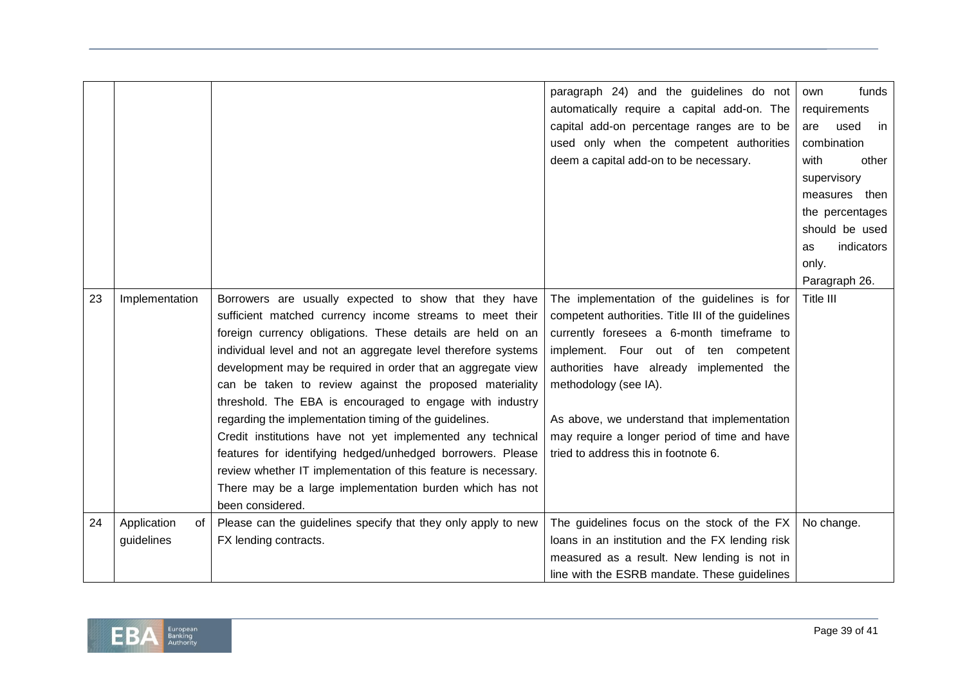|    |                   |                                                                | paragraph 24) and the guidelines do not            | funds<br>own            |
|----|-------------------|----------------------------------------------------------------|----------------------------------------------------|-------------------------|
|    |                   |                                                                | automatically require a capital add-on. The        | requirements            |
|    |                   |                                                                | capital add-on percentage ranges are to be         | used<br>are<br>in       |
|    |                   |                                                                | used only when the competent authorities           | combination             |
|    |                   |                                                                | deem a capital add-on to be necessary.             | with<br>other           |
|    |                   |                                                                |                                                    | supervisory             |
|    |                   |                                                                |                                                    | measures then           |
|    |                   |                                                                |                                                    | the percentages         |
|    |                   |                                                                |                                                    | should be used          |
|    |                   |                                                                |                                                    | indicators<br><b>as</b> |
|    |                   |                                                                |                                                    | only.                   |
|    |                   |                                                                |                                                    | Paragraph 26.           |
| 23 | Implementation    | Borrowers are usually expected to show that they have          | The implementation of the guidelines is for        | Title III               |
|    |                   | sufficient matched currency income streams to meet their       | competent authorities. Title III of the guidelines |                         |
|    |                   | foreign currency obligations. These details are held on an     | currently foresees a 6-month timeframe to          |                         |
|    |                   | individual level and not an aggregate level therefore systems  | implement. Four out of ten competent               |                         |
|    |                   | development may be required in order that an aggregate view    | authorities have already implemented the           |                         |
|    |                   | can be taken to review against the proposed materiality        | methodology (see IA).                              |                         |
|    |                   | threshold. The EBA is encouraged to engage with industry       |                                                    |                         |
|    |                   | regarding the implementation timing of the guidelines.         | As above, we understand that implementation        |                         |
|    |                   | Credit institutions have not yet implemented any technical     | may require a longer period of time and have       |                         |
|    |                   | features for identifying hedged/unhedged borrowers. Please     | tried to address this in footnote 6.               |                         |
|    |                   | review whether IT implementation of this feature is necessary. |                                                    |                         |
|    |                   | There may be a large implementation burden which has not       |                                                    |                         |
|    |                   | been considered.                                               |                                                    |                         |
| 24 | Application<br>of | Please can the guidelines specify that they only apply to new  | The guidelines focus on the stock of the FX        | No change.              |
|    | guidelines        | FX lending contracts.                                          | loans in an institution and the FX lending risk    |                         |
|    |                   |                                                                | measured as a result. New lending is not in        |                         |
|    |                   |                                                                | line with the ESRB mandate. These guidelines       |                         |

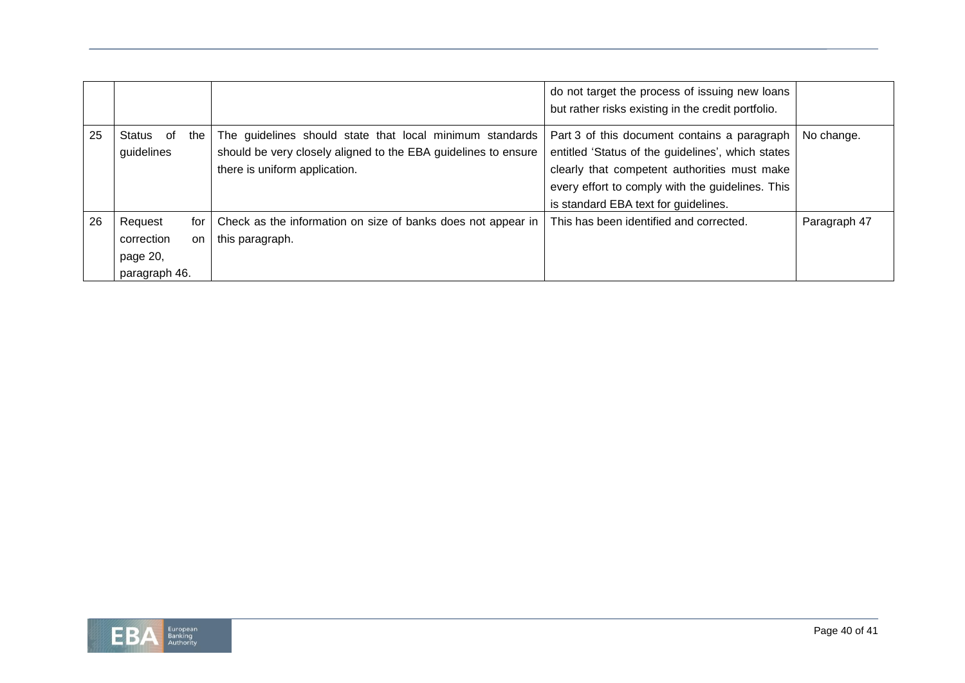|    |                                                                   |                                                                                                                                                             | do not target the process of issuing new loans<br>but rather risks existing in the credit portfolio.                                                                                                                                          |              |
|----|-------------------------------------------------------------------|-------------------------------------------------------------------------------------------------------------------------------------------------------------|-----------------------------------------------------------------------------------------------------------------------------------------------------------------------------------------------------------------------------------------------|--------------|
| 25 | Status of<br>the<br>guidelines                                    | The guidelines should state that local minimum standards<br>should be very closely aligned to the EBA guidelines to ensure<br>there is uniform application. | Part 3 of this document contains a paragraph<br>entitled 'Status of the guidelines', which states<br>clearly that competent authorities must make<br>every effort to comply with the guidelines. This<br>is standard EBA text for guidelines. | No change.   |
| 26 | Request<br>for I<br>correction<br>on<br>page 20,<br>paragraph 46. | Check as the information on size of banks does not appear in<br>this paragraph.                                                                             | This has been identified and corrected.                                                                                                                                                                                                       | Paragraph 47 |